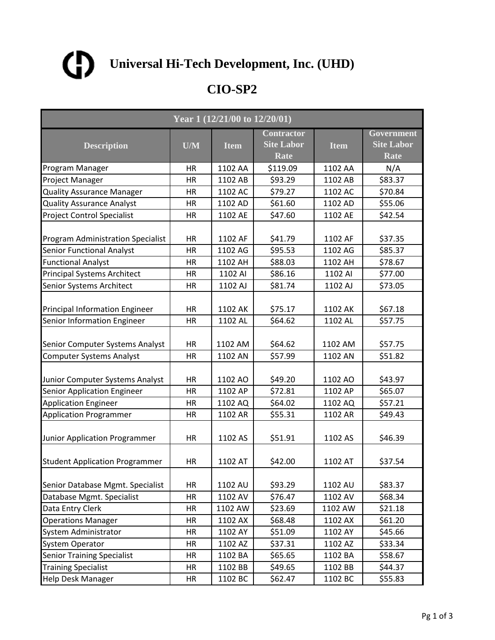

| Year 1 $(12/21/\overline{00}$ to $12/20/\overline{01})$        |                 |                    |                                                |                    |                                                |  |
|----------------------------------------------------------------|-----------------|--------------------|------------------------------------------------|--------------------|------------------------------------------------|--|
| <b>Description</b>                                             | U/M             | <b>Item</b>        | <b>Contractor</b><br><b>Site Labor</b><br>Rate | <b>Item</b>        | Government<br><b>Site Labor</b><br><b>Rate</b> |  |
| Program Manager                                                | HR              | 1102 AA            | \$119.09                                       | 1102 AA            | N/A                                            |  |
| Project Manager                                                | HR              | 1102 AB            | \$93.29                                        | 1102 AB            | \$83.37                                        |  |
| <b>Quality Assurance Manager</b>                               | HR              | 1102 AC            | \$79.27                                        | 1102 AC            | \$70.84                                        |  |
| <b>Quality Assurance Analyst</b>                               | HR              | 1102 AD            | \$61.60                                        | 1102 AD            | \$55.06                                        |  |
| <b>Project Control Specialist</b>                              | <b>HR</b>       | 1102 AE            | \$47.60                                        | 1102 AE            | \$42.54                                        |  |
| <b>Program Administration Specialist</b>                       | HR              | 1102 AF            | \$41.79                                        | 1102 AF            | \$37.35                                        |  |
| <b>Senior Functional Analyst</b>                               | <b>HR</b>       | 1102 AG            | \$95.53                                        | 1102 AG            | \$85.37                                        |  |
| <b>Functional Analyst</b>                                      | HR              | 1102 AH            | \$88.03                                        | 1102 AH            | \$78.67                                        |  |
| <b>Principal Systems Architect</b>                             | HR              | 1102 AI            | \$86.16                                        | 1102 AI            | \$77.00                                        |  |
| <b>Senior Systems Architect</b>                                | <b>HR</b>       | 1102 AJ            | \$81.74                                        | 1102 AJ            | \$73.05                                        |  |
| Principal Information Engineer                                 | HR              | 1102 AK            | \$75.17                                        | 1102 AK            | \$67.18                                        |  |
| Senior Information Engineer                                    | HR              | 1102 AL            | \$64.62                                        | 1102 AL            | \$57.75                                        |  |
| Senior Computer Systems Analyst                                | HR              | 1102 AM            | \$64.62                                        | 1102 AM            | \$57.75                                        |  |
| <b>Computer Systems Analyst</b>                                | <b>HR</b>       | 1102 AN            | \$57.99                                        | 1102 AN            | \$51.82                                        |  |
| Junior Computer Systems Analyst<br>Senior Application Engineer | HR<br><b>HR</b> | 1102 AO<br>1102 AP | \$49.20<br>\$72.81                             | 1102 AO<br>1102 AP | \$43.97<br>\$65.07                             |  |
|                                                                | HR              | 1102 AQ            | \$64.02                                        | 1102 AQ            | \$57.21                                        |  |
| <b>Application Engineer</b><br><b>Application Programmer</b>   | HR              | 1102 AR            | \$55.31                                        | 1102 AR            | \$49.43                                        |  |
| Junior Application Programmer                                  | <b>HR</b>       | 1102 AS            | \$51.91                                        | 1102 AS            | \$46.39                                        |  |
| <b>Student Application Programmer</b>                          | HR              | 1102 AT            | \$42.00                                        | 1102 AT            | \$37.54                                        |  |
| Senior Database Mgmt. Specialist                               | HR              | 1102 AU            | \$93.29                                        | 1102 AU            | \$83.37                                        |  |
| Database Mgmt. Specialist                                      | <b>HR</b>       | 1102 AV            | \$76.47                                        | 1102 AV            | \$68.34                                        |  |
| Data Entry Clerk                                               | HR              | 1102 AW            | \$23.69                                        | 1102 AW            | \$21.18                                        |  |
| <b>Operations Manager</b>                                      | HR              | 1102 AX            | \$68.48                                        | 1102 AX            | \$61.20                                        |  |
| <b>System Administrator</b>                                    | HR              | 1102 AY            | \$51.09                                        | 1102 AY            | \$45.66                                        |  |
| <b>System Operator</b>                                         | HR              | 1102 AZ            | \$37.31                                        | 1102 AZ            | \$33.34                                        |  |
| <b>Senior Training Specialist</b>                              | HR              | 1102 BA            | \$65.65                                        | 1102 BA            | \$58.67                                        |  |
| <b>Training Specialist</b>                                     | HR              | 1102 BB            | \$49.65                                        | 1102 BB            | \$44.37                                        |  |
| <b>Help Desk Manager</b>                                       | HR              | 1102 BC            | \$62.47                                        | 1102 BC            | \$55.83                                        |  |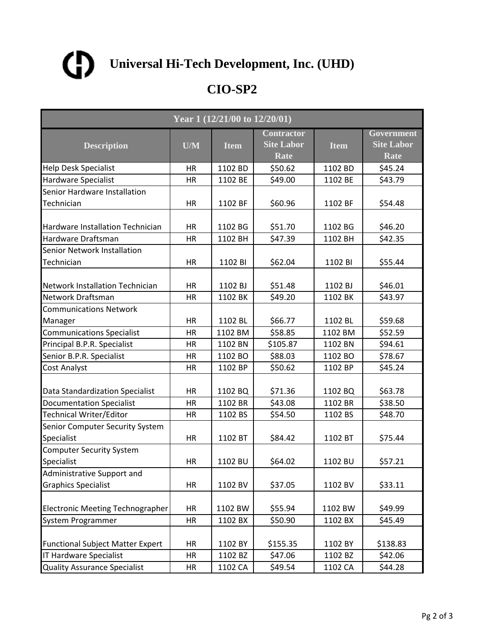

| Year 1 (12/21/00 to 12/20/01)                 |           |             |                                                |             |                                                |  |  |
|-----------------------------------------------|-----------|-------------|------------------------------------------------|-------------|------------------------------------------------|--|--|
| <b>Description</b>                            | U/M       | <b>Item</b> | <b>Contractor</b><br><b>Site Labor</b><br>Rate | <b>Item</b> | Government<br><b>Site Labor</b><br><b>Rate</b> |  |  |
| <b>Help Desk Specialist</b>                   | HR        | 1102 BD     | \$50.62                                        | 1102 BD     | \$45.24                                        |  |  |
| <b>Hardware Specialist</b>                    | HR        | 1102 BE     | \$49.00                                        | 1102 BE     | \$43.79                                        |  |  |
| Senior Hardware Installation                  |           |             |                                                |             |                                                |  |  |
| Technician                                    | HR        | 1102 BF     | \$60.96                                        | 1102 BF     | \$54.48                                        |  |  |
| Hardware Installation Technician              | <b>HR</b> | 1102 BG     | \$51.70                                        | 1102 BG     | \$46.20                                        |  |  |
| Hardware Draftsman                            | HR        | 1102 BH     | \$47.39                                        | 1102 BH     | \$42.35                                        |  |  |
| Senior Network Installation                   |           |             |                                                |             |                                                |  |  |
| Technician                                    | HR        | 1102 BI     | \$62.04                                        | 1102 BI     | \$55.44                                        |  |  |
| Network Installation Technician               | HR        | 1102 BJ     | \$51.48                                        | 1102 BJ     | \$46.01                                        |  |  |
| Network Draftsman                             | HR        | 1102 BK     | \$49.20                                        | 1102 BK     | \$43.97                                        |  |  |
| <b>Communications Network</b>                 |           |             |                                                |             |                                                |  |  |
| Manager                                       | HR        | 1102 BL     | \$66.77                                        | 1102 BL     | \$59.68                                        |  |  |
| <b>Communications Specialist</b>              | <b>HR</b> | 1102 BM     | \$58.85                                        | 1102 BM     | \$52.59                                        |  |  |
| Principal B.P.R. Specialist                   | <b>HR</b> | 1102 BN     | \$105.87                                       | 1102 BN     | \$94.61                                        |  |  |
| Senior B.P.R. Specialist                      | <b>HR</b> | 1102 BO     | \$88.03                                        | 1102 BO     | \$78.67                                        |  |  |
| Cost Analyst                                  | HR        | 1102 BP     | \$50.62                                        | 1102 BP     | \$45.24                                        |  |  |
| Data Standardization Specialist               | HR        | 1102 BQ     | \$71.36                                        | 1102 BQ     | \$63.78                                        |  |  |
| <b>Documentation Specialist</b>               | <b>HR</b> | 1102 BR     | \$43.08                                        | 1102 BR     | \$38.50                                        |  |  |
| Technical Writer/Editor                       | <b>HR</b> | 1102 BS     | \$54.50                                        | 1102 BS     | \$48.70                                        |  |  |
| Senior Computer Security System<br>Specialist | HR        | 1102 BT     | \$84.42                                        | 1102 BT     | \$75.44                                        |  |  |
| <b>Computer Security System</b>               |           |             |                                                |             |                                                |  |  |
| Specialist                                    | HR        | 1102 BU     | \$64.02                                        | 1102 BU     | \$57.21                                        |  |  |
| Administrative Support and                    |           |             |                                                |             |                                                |  |  |
| <b>Graphics Specialist</b>                    | HR        | 1102 BV     | \$37.05                                        | 1102 BV     | \$33.11                                        |  |  |
| Electronic Meeting Technographer              | HR        | 1102 BW     | \$55.94                                        | 1102 BW     | \$49.99                                        |  |  |
| System Programmer                             | HR        | 1102 BX     | \$50.90                                        | 1102 BX     | \$45.49                                        |  |  |
| <b>Functional Subject Matter Expert</b>       | HR        | 1102 BY     | \$155.35                                       | 1102 BY     | \$138.83                                       |  |  |
| <b>IT Hardware Specialist</b>                 | HR        | 1102 BZ     | \$47.06                                        | 1102 BZ     | \$42.06                                        |  |  |
| <b>Quality Assurance Specialist</b>           | HR        | 1102 CA     | \$49.54                                        | 1102 CA     | \$44.28                                        |  |  |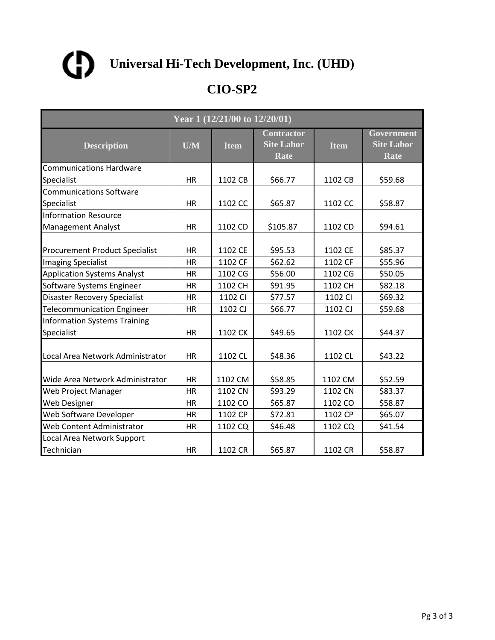

| Year 1 (12/21/00 to 12/20/01)                     |           |             |                                                |             |                                         |  |  |
|---------------------------------------------------|-----------|-------------|------------------------------------------------|-------------|-----------------------------------------|--|--|
| <b>Description</b>                                | U/M       | <b>Item</b> | <b>Contractor</b><br><b>Site Labor</b><br>Rate | <b>Item</b> | Government<br><b>Site Labor</b><br>Rate |  |  |
| <b>Communications Hardware</b>                    |           |             |                                                |             |                                         |  |  |
| Specialist                                        | HR        | 1102 CB     | \$66.77                                        | 1102 CB     | \$59.68                                 |  |  |
| <b>Communications Software</b>                    |           |             |                                                |             |                                         |  |  |
| Specialist                                        | <b>HR</b> | 1102 CC     | \$65.87                                        | 1102 CC     | \$58.87                                 |  |  |
| <b>Information Resource</b>                       |           |             |                                                |             |                                         |  |  |
| <b>Management Analyst</b>                         | <b>HR</b> | 1102 CD     | \$105.87                                       | 1102 CD     | \$94.61                                 |  |  |
| <b>Procurement Product Specialist</b>             | <b>HR</b> | 1102 CE     | \$95.53                                        | 1102 CE     | \$85.37                                 |  |  |
| <b>Imaging Specialist</b>                         | <b>HR</b> | 1102 CF     | \$62.62                                        | 1102 CF     | \$55.96                                 |  |  |
| <b>Application Systems Analyst</b>                | HR        | 1102 CG     | \$56.00                                        | 1102 CG     | \$50.05                                 |  |  |
| Software Systems Engineer                         | <b>HR</b> | 1102 CH     | \$91.95                                        | 1102 CH     | \$82.18                                 |  |  |
| <b>Disaster Recovery Specialist</b>               | <b>HR</b> | 1102 CI     | \$77.57                                        | 1102 CI     | \$69.32                                 |  |  |
| <b>Telecommunication Engineer</b>                 | HR        | 1102 CJ     | \$66.77                                        | 1102 CJ     | \$59.68                                 |  |  |
| <b>Information Systems Training</b><br>Specialist | <b>HR</b> | 1102 CK     | \$49.65                                        | 1102 CK     | \$44.37                                 |  |  |
| Local Area Network Administrator                  | <b>HR</b> | 1102 CL     | \$48.36                                        | 1102 CL     | \$43.22                                 |  |  |
| Wide Area Network Administrator                   | <b>HR</b> | 1102 CM     | \$58.85                                        | 1102 CM     | \$52.59                                 |  |  |
| Web Project Manager                               | <b>HR</b> | 1102 CN     | \$93.29                                        | 1102 CN     | \$83.37                                 |  |  |
| <b>Web Designer</b>                               | HR        | 1102 CO     | \$65.87                                        | 1102 CO     | \$58.87                                 |  |  |
| Web Software Developer                            | HR        | 1102 CP     | \$72.81                                        | 1102 CP     | \$65.07                                 |  |  |
| Web Content Administrator                         | HR        | 1102 CQ     | \$46.48                                        | 1102 CQ     | \$41.54                                 |  |  |
| Local Area Network Support                        |           |             |                                                |             |                                         |  |  |
| Technician                                        | <b>HR</b> | 1102 CR     | \$65.87                                        | 1102 CR     | \$58.87                                 |  |  |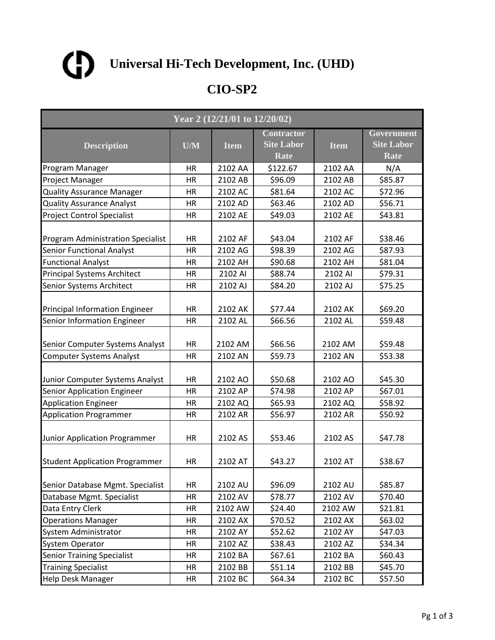

| Year 2 (12/21/01 to 12/20/02)                                         |                 |                    |                                                |                    |                                                |  |
|-----------------------------------------------------------------------|-----------------|--------------------|------------------------------------------------|--------------------|------------------------------------------------|--|
| <b>Description</b>                                                    | U/M             | <b>Item</b>        | <b>Contractor</b><br><b>Site Labor</b><br>Rate | <b>Item</b>        | Government<br><b>Site Labor</b><br><b>Rate</b> |  |
| Program Manager                                                       | HR              | 2102 AA            | \$122.67                                       | 2102 AA            | N/A                                            |  |
| Project Manager                                                       | HR              | 2102 AB            | \$96.09                                        | 2102 AB            | \$85.87                                        |  |
| <b>Quality Assurance Manager</b>                                      | HR              | 2102 AC            | \$81.64                                        | 2102 AC            | \$72.96                                        |  |
| <b>Quality Assurance Analyst</b>                                      | HR              | 2102 AD            | \$63.46                                        | 2102 AD            | \$56.71                                        |  |
| <b>Project Control Specialist</b>                                     | <b>HR</b>       | 2102 AE            | \$49.03                                        | 2102 AE            | \$43.81                                        |  |
| <b>Program Administration Specialist</b>                              | HR              | 2102 AF            | \$43.04                                        | 2102 AF            | \$38.46                                        |  |
| <b>Senior Functional Analyst</b>                                      | <b>HR</b>       | 2102 AG            | \$98.39                                        | 2102 AG            | \$87.93                                        |  |
| <b>Functional Analyst</b>                                             | HR              | 2102 AH            | \$90.68                                        | 2102 AH            | \$81.04                                        |  |
| <b>Principal Systems Architect</b>                                    | HR              | 2102 AI            | \$88.74                                        | 2102 AI            | \$79.31                                        |  |
| <b>Senior Systems Architect</b>                                       | <b>HR</b>       | 2102 AJ            | \$84.20                                        | 2102 AJ            | \$75.25                                        |  |
| Principal Information Engineer                                        | HR              | 2102 AK            | \$77.44                                        | 2102 AK            | \$69.20                                        |  |
| Senior Information Engineer                                           | HR              | 2102 AL            | \$66.56                                        | 2102 AL            | \$59.48                                        |  |
| Senior Computer Systems Analyst                                       | HR              | 2102 AM            | \$66.56                                        | 2102 AM            | \$59.48                                        |  |
| <b>Computer Systems Analyst</b>                                       | <b>HR</b>       | 2102 AN            | \$59.73                                        | 2102 AN            | \$53.38                                        |  |
| Junior Computer Systems Analyst<br><b>Senior Application Engineer</b> | HR<br><b>HR</b> | 2102 AO<br>2102 AP | \$50.68<br>\$74.98                             | 2102 AO<br>2102 AP | \$45.30<br>\$67.01                             |  |
| <b>Application Engineer</b>                                           | HR              | 2102 AQ            | \$65.93                                        | 2102 AQ            | \$58.92                                        |  |
| Application Programmer                                                | HR              | 2102 AR            | \$56.97                                        | 2102 AR            | \$50.92                                        |  |
| Junior Application Programmer                                         | <b>HR</b>       | 2102 AS            | \$53.46                                        | 2102 AS            | \$47.78                                        |  |
| <b>Student Application Programmer</b>                                 | HR              | 2102 AT            | \$43.27                                        | 2102 AT            | \$38.67                                        |  |
| Senior Database Mgmt. Specialist                                      | HR              | 2102 AU            | \$96.09                                        | 2102 AU            | \$85.87                                        |  |
| Database Mgmt. Specialist                                             | <b>HR</b>       | 2102 AV            | \$78.77                                        | 2102 AV            | \$70.40                                        |  |
| Data Entry Clerk                                                      | HR              | 2102 AW            | \$24.40                                        | 2102 AW            | \$21.81                                        |  |
| <b>Operations Manager</b>                                             | HR              | 2102 AX            | \$70.52                                        | 2102 AX            | \$63.02                                        |  |
| System Administrator                                                  | HR              | 2102 AY            | \$52.62                                        | 2102 AY            | \$47.03                                        |  |
| <b>System Operator</b>                                                | HR              | 2102 AZ            | \$38.43                                        | 2102 AZ            | \$34.34                                        |  |
| <b>Senior Training Specialist</b>                                     | HR              | 2102 BA            | \$67.61                                        | 2102 BA            | \$60.43                                        |  |
| <b>Training Specialist</b>                                            | HR              | 2102 BB            | \$51.14                                        | 2102 BB            | \$45.70                                        |  |
| <b>Help Desk Manager</b>                                              | HR              | 2102 BC            | \$64.34                                        | 2102 BC            | \$57.50                                        |  |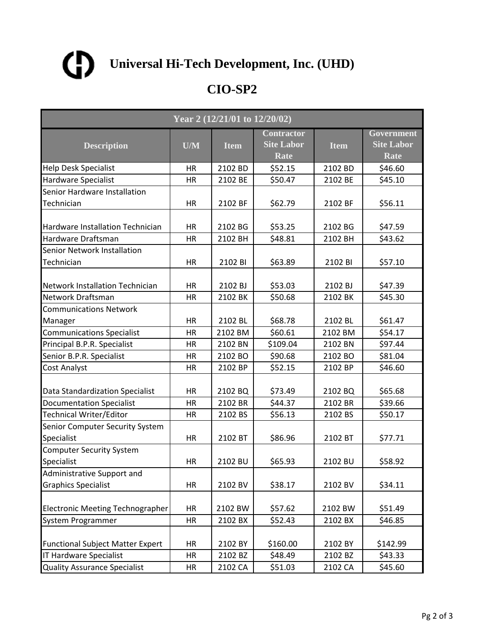

| Year 2 (12/21/01 to 12/20/02)                 |           |             |                                                |             |                                                |  |  |
|-----------------------------------------------|-----------|-------------|------------------------------------------------|-------------|------------------------------------------------|--|--|
| <b>Description</b>                            | U/M       | <b>Item</b> | <b>Contractor</b><br><b>Site Labor</b><br>Rate | <b>Item</b> | Government<br><b>Site Labor</b><br><b>Rate</b> |  |  |
| <b>Help Desk Specialist</b>                   | HR        | 2102 BD     | \$52.15                                        | 2102 BD     | \$46.60                                        |  |  |
| Hardware Specialist                           | HR        | 2102 BE     | \$50.47                                        | 2102 BE     | \$45.10                                        |  |  |
| Senior Hardware Installation                  |           |             |                                                |             |                                                |  |  |
| Technician                                    | HR        | 2102 BF     | \$62.79                                        | 2102 BF     | \$56.11                                        |  |  |
| Hardware Installation Technician              | HR        | 2102 BG     | \$53.25                                        | 2102 BG     | \$47.59                                        |  |  |
| Hardware Draftsman                            | HR        | 2102 BH     | \$48.81                                        | 2102 BH     | \$43.62                                        |  |  |
| Senior Network Installation                   |           |             |                                                |             |                                                |  |  |
| Technician                                    | HR        | 2102 BI     | \$63.89                                        | 2102 BI     | \$57.10                                        |  |  |
| <b>Network Installation Technician</b>        | HR        | 2102 BJ     | \$53.03                                        | 2102 BJ     | \$47.39                                        |  |  |
| Network Draftsman                             | HR        | 2102 BK     | \$50.68                                        | 2102 BK     | \$45.30                                        |  |  |
| <b>Communications Network</b>                 |           |             |                                                |             |                                                |  |  |
| Manager                                       | HR        | 2102 BL     | \$68.78                                        | 2102 BL     | \$61.47                                        |  |  |
| <b>Communications Specialist</b>              | HR        | 2102 BM     | \$60.61                                        | 2102 BM     | \$54.17                                        |  |  |
| Principal B.P.R. Specialist                   | <b>HR</b> | 2102 BN     | \$109.04                                       | 2102 BN     | \$97.44                                        |  |  |
| Senior B.P.R. Specialist                      | <b>HR</b> | 2102 BO     | \$90.68                                        | 2102 BO     | \$81.04                                        |  |  |
| Cost Analyst                                  | HR        | 2102 BP     | \$52.15                                        | 2102 BP     | \$46.60                                        |  |  |
| Data Standardization Specialist               | <b>HR</b> | 2102 BQ     | \$73.49                                        | 2102 BQ     | \$65.68                                        |  |  |
| <b>Documentation Specialist</b>               | HR        | 2102 BR     | \$44.37                                        | 2102 BR     | \$39.66                                        |  |  |
| Technical Writer/Editor                       | <b>HR</b> | 2102 BS     | \$56.13                                        | 2102 BS     | \$50.17                                        |  |  |
| Senior Computer Security System<br>Specialist | <b>HR</b> | 2102 BT     | \$86.96                                        | 2102 BT     | \$77.71                                        |  |  |
| <b>Computer Security System</b>               |           |             |                                                |             |                                                |  |  |
| Specialist                                    | HR        | 2102 BU     | \$65.93                                        | 2102 BU     | \$58.92                                        |  |  |
| Administrative Support and                    |           |             |                                                |             |                                                |  |  |
| <b>Graphics Specialist</b>                    | HR        | 2102 BV     | \$38.17                                        | 2102 BV     | \$34.11                                        |  |  |
| <b>Electronic Meeting Technographer</b>       | HR        | 2102 BW     | \$57.62                                        | 2102 BW     | \$51.49                                        |  |  |
| System Programmer                             | <b>HR</b> | 2102 BX     | \$52.43                                        | 2102 BX     | \$46.85                                        |  |  |
| <b>Functional Subject Matter Expert</b>       | HR        | 2102 BY     | \$160.00                                       | 2102 BY     | \$142.99                                       |  |  |
| <b>IT Hardware Specialist</b>                 | HR        | 2102 BZ     | \$48.49                                        | 2102 BZ     | \$43.33                                        |  |  |
| <b>Quality Assurance Specialist</b>           | HR        | 2102 CA     | \$51.03                                        | 2102 CA     | \$45.60                                        |  |  |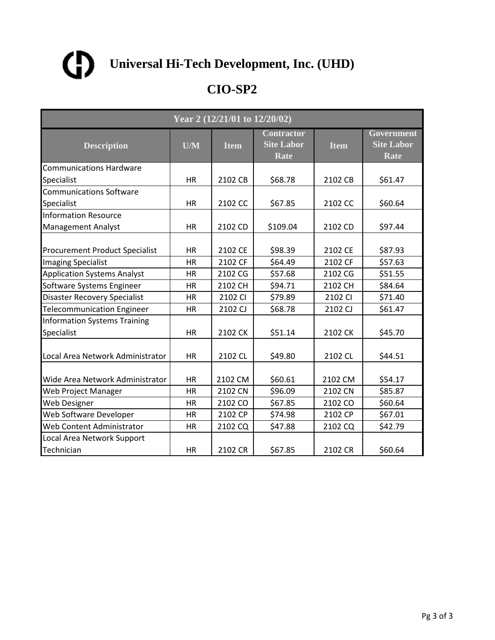

|                                                   | Year 2 (12/21/01 to 12/20/02) |             |                                                |             |                                         |  |  |  |
|---------------------------------------------------|-------------------------------|-------------|------------------------------------------------|-------------|-----------------------------------------|--|--|--|
| <b>Description</b>                                | U/M                           | <b>Item</b> | <b>Contractor</b><br><b>Site Labor</b><br>Rate | <b>Item</b> | Government<br><b>Site Labor</b><br>Rate |  |  |  |
| <b>Communications Hardware</b>                    |                               |             |                                                |             |                                         |  |  |  |
| Specialist                                        | HR                            | 2102 CB     | \$68.78                                        | 2102 CB     | \$61.47                                 |  |  |  |
| <b>Communications Software</b>                    |                               |             |                                                |             |                                         |  |  |  |
| Specialist                                        | <b>HR</b>                     | 2102 CC     | \$67.85                                        | 2102 CC     | \$60.64                                 |  |  |  |
| <b>Information Resource</b>                       |                               |             |                                                |             |                                         |  |  |  |
| <b>Management Analyst</b>                         | <b>HR</b>                     | 2102 CD     | \$109.04                                       | 2102 CD     | \$97.44                                 |  |  |  |
| <b>Procurement Product Specialist</b>             | <b>HR</b>                     | 2102 CE     | \$98.39                                        | 2102 CE     | \$87.93                                 |  |  |  |
| <b>Imaging Specialist</b>                         | <b>HR</b>                     | 2102 CF     | \$64.49                                        | 2102 CF     | \$57.63                                 |  |  |  |
| <b>Application Systems Analyst</b>                | HR                            | 2102 CG     | \$57.68                                        | 2102 CG     | \$51.55                                 |  |  |  |
| Software Systems Engineer                         | <b>HR</b>                     | 2102 CH     | \$94.71                                        | 2102 CH     | \$84.64                                 |  |  |  |
| <b>Disaster Recovery Specialist</b>               | <b>HR</b>                     | 2102 CI     | \$79.89                                        | 2102 CI     | \$71.40                                 |  |  |  |
| <b>Telecommunication Engineer</b>                 | HR                            | 2102 CJ     | \$68.78                                        | 2102 CJ     | \$61.47                                 |  |  |  |
| <b>Information Systems Training</b><br>Specialist | <b>HR</b>                     | 2102 CK     | \$51.14                                        | 2102 CK     | \$45.70                                 |  |  |  |
| Local Area Network Administrator                  | <b>HR</b>                     | 2102 CL     | \$49.80                                        | 2102 CL     | \$44.51                                 |  |  |  |
| Wide Area Network Administrator                   | <b>HR</b>                     | 2102 CM     | \$60.61                                        | 2102 CM     | \$54.17                                 |  |  |  |
| Web Project Manager                               | <b>HR</b>                     | 2102 CN     | \$96.09                                        | 2102 CN     | \$85.87                                 |  |  |  |
| <b>Web Designer</b>                               | HR                            | 2102 CO     | \$67.85                                        | 2102 CO     | \$60.64                                 |  |  |  |
| Web Software Developer                            | HR                            | 2102 CP     | \$74.98                                        | 2102 CP     | \$67.01                                 |  |  |  |
| Web Content Administrator                         | HR                            | 2102 CQ     | \$47.88                                        | 2102 CQ     | \$42.79                                 |  |  |  |
| Local Area Network Support                        |                               |             |                                                |             |                                         |  |  |  |
| Technician                                        | <b>HR</b>                     | 2102 CR     | \$67.85                                        | 2102 CR     | \$60.64                                 |  |  |  |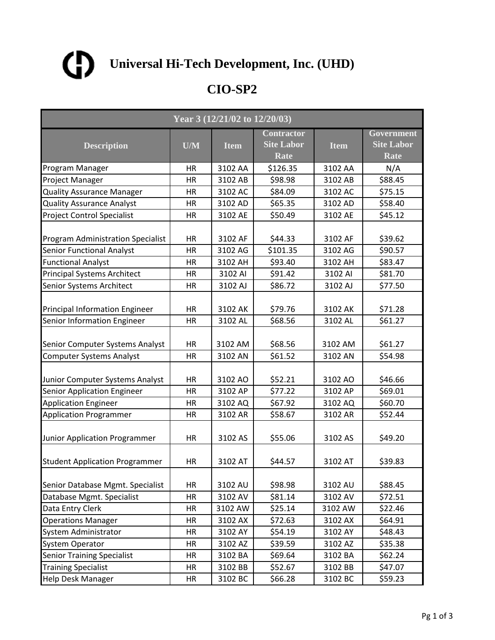

| Year 3 (12/21/02 to 12/20/03)                                         |                 |                    |                                                |                    |                                                |  |
|-----------------------------------------------------------------------|-----------------|--------------------|------------------------------------------------|--------------------|------------------------------------------------|--|
| <b>Description</b>                                                    | U/M             | <b>Item</b>        | <b>Contractor</b><br><b>Site Labor</b><br>Rate | <b>Item</b>        | Government<br><b>Site Labor</b><br><b>Rate</b> |  |
| Program Manager                                                       | HR              | 3102 AA            | \$126.35                                       | 3102 AA            | N/A                                            |  |
| Project Manager                                                       | HR              | 3102 AB            | \$98.98                                        | 3102 AB            | \$88.45                                        |  |
| <b>Quality Assurance Manager</b>                                      | HR              | 3102 AC            | \$84.09                                        | 3102 AC            | \$75.15                                        |  |
| <b>Quality Assurance Analyst</b>                                      | HR              | 3102 AD            | \$65.35                                        | 3102 AD            | \$58.40                                        |  |
| <b>Project Control Specialist</b>                                     | <b>HR</b>       | 3102 AE            | \$50.49                                        | 3102 AE            | \$45.12                                        |  |
| <b>Program Administration Specialist</b>                              | HR              | 3102 AF            | \$44.33                                        | 3102 AF            | \$39.62                                        |  |
| <b>Senior Functional Analyst</b>                                      | <b>HR</b>       | 3102 AG            | \$101.35                                       | 3102 AG            | \$90.57                                        |  |
| <b>Functional Analyst</b>                                             | HR              | 3102 AH            | \$93.40                                        | 3102 AH            | \$83.47                                        |  |
| <b>Principal Systems Architect</b>                                    | HR              | 3102 AI            | \$91.42                                        | 3102 AI            | \$81.70                                        |  |
| <b>Senior Systems Architect</b>                                       | <b>HR</b>       | 3102 AJ            | \$86.72                                        | 3102 AJ            | \$77.50                                        |  |
| Principal Information Engineer                                        | HR              | 3102 AK            | \$79.76                                        | 3102 AK            | \$71.28                                        |  |
| Senior Information Engineer                                           | HR              | 3102 AL            | \$68.56                                        | 3102 AL            | \$61.27                                        |  |
| Senior Computer Systems Analyst                                       | HR              | 3102 AM            | \$68.56                                        | 3102 AM            | \$61.27                                        |  |
| <b>Computer Systems Analyst</b>                                       | <b>HR</b>       | 3102 AN            | \$61.52                                        | 3102 AN            | \$54.98                                        |  |
| Junior Computer Systems Analyst<br><b>Senior Application Engineer</b> | HR<br><b>HR</b> | 3102 AO<br>3102 AP | \$52.21<br>\$77.22                             | 3102 AO<br>3102 AP | \$46.66<br>\$69.01                             |  |
| <b>Application Engineer</b>                                           | HR              | 3102 AQ            | \$67.92                                        | 3102 AQ            | \$60.70                                        |  |
| <b>Application Programmer</b>                                         | HR              | 3102 AR            | \$58.67                                        | 3102 AR            | \$52.44                                        |  |
| Junior Application Programmer                                         | <b>HR</b>       | 3102 AS            | \$55.06                                        | 3102 AS            | \$49.20                                        |  |
| <b>Student Application Programmer</b>                                 | HR              | 3102 AT            | \$44.57                                        | 3102 AT            | \$39.83                                        |  |
| Senior Database Mgmt. Specialist                                      | HR              | 3102 AU            | \$98.98                                        | 3102 AU            | \$88.45                                        |  |
| Database Mgmt. Specialist                                             | <b>HR</b>       | 3102 AV            | \$81.14                                        | 3102 AV            | \$72.51                                        |  |
| Data Entry Clerk                                                      | HR              | 3102 AW            | \$25.14                                        | 3102 AW            | \$22.46                                        |  |
| <b>Operations Manager</b>                                             | HR              | 3102 AX            | \$72.63                                        | 3102 AX            | \$64.91                                        |  |
| System Administrator                                                  | HR              | 3102 AY            | \$54.19                                        | 3102 AY            | \$48.43                                        |  |
| <b>System Operator</b>                                                | HR              | 3102 AZ            | \$39.59                                        | 3102 AZ            | \$35.38                                        |  |
| <b>Senior Training Specialist</b>                                     | HR              | 3102 BA            | \$69.64                                        | 3102 BA            | \$62.24                                        |  |
| <b>Training Specialist</b>                                            | HR              | 3102 BB            | \$52.67                                        | 3102 BB            | \$47.07                                        |  |
| <b>Help Desk Manager</b>                                              | HR              | 3102 BC            | \$66.28                                        | 3102 BC            | \$59.23                                        |  |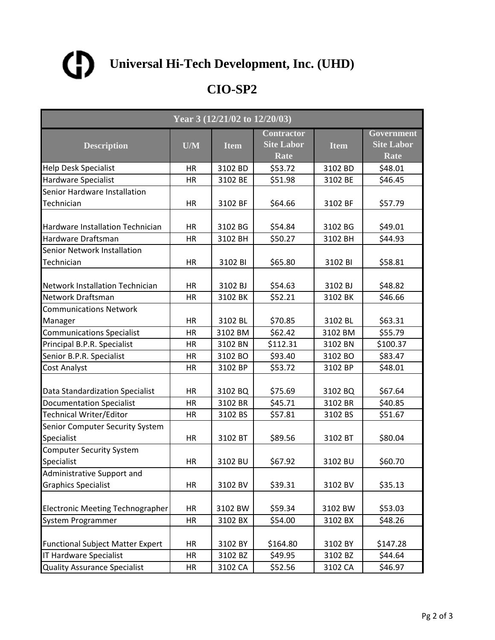

| Year 3 (12/21/02 to 12/20/03)                 |           |             |                                                |             |                                                |  |  |
|-----------------------------------------------|-----------|-------------|------------------------------------------------|-------------|------------------------------------------------|--|--|
| <b>Description</b>                            | U/M       | <b>Item</b> | <b>Contractor</b><br><b>Site Labor</b><br>Rate | <b>Item</b> | Government<br><b>Site Labor</b><br><b>Rate</b> |  |  |
| <b>Help Desk Specialist</b>                   | HR        | 3102 BD     | \$53.72                                        | 3102 BD     | \$48.01                                        |  |  |
| <b>Hardware Specialist</b>                    | HR        | 3102 BE     | \$51.98                                        | 3102 BE     | \$46.45                                        |  |  |
| Senior Hardware Installation                  |           |             |                                                |             |                                                |  |  |
| Technician                                    | HR        | 3102 BF     | \$64.66                                        | 3102 BF     | \$57.79                                        |  |  |
| Hardware Installation Technician              | <b>HR</b> | 3102 BG     | \$54.84                                        | 3102 BG     | \$49.01                                        |  |  |
| Hardware Draftsman                            | HR        | 3102 BH     | \$50.27                                        | 3102 BH     | \$44.93                                        |  |  |
| Senior Network Installation                   |           |             |                                                |             |                                                |  |  |
| Technician                                    | HR        | 3102 BI     | \$65.80                                        | 3102 BI     | \$58.81                                        |  |  |
| Network Installation Technician               | HR        | 3102 BJ     | \$54.63                                        | 3102 BJ     | \$48.82                                        |  |  |
| Network Draftsman                             | HR        | 3102 BK     | \$52.21                                        | 3102 BK     | \$46.66                                        |  |  |
| <b>Communications Network</b>                 |           |             |                                                |             |                                                |  |  |
| Manager                                       | HR        | 3102 BL     | \$70.85                                        | 3102 BL     | \$63.31                                        |  |  |
| <b>Communications Specialist</b>              | <b>HR</b> | 3102 BM     | \$62.42                                        | 3102 BM     | \$55.79                                        |  |  |
| Principal B.P.R. Specialist                   | HR        | 3102 BN     | \$112.31                                       | 3102 BN     | \$100.37                                       |  |  |
| Senior B.P.R. Specialist                      | <b>HR</b> | 3102 BO     | \$93.40                                        | 3102 BO     | \$83.47                                        |  |  |
| Cost Analyst                                  | HR        | 3102 BP     | \$53.72                                        | 3102 BP     | \$48.01                                        |  |  |
| Data Standardization Specialist               | <b>HR</b> | 3102 BQ     | \$75.69                                        | 3102 BQ     | \$67.64                                        |  |  |
| <b>Documentation Specialist</b>               | <b>HR</b> | 3102 BR     | \$45.71                                        | 3102 BR     | \$40.85                                        |  |  |
| Technical Writer/Editor                       | <b>HR</b> | 3102 BS     | \$57.81                                        | 3102 BS     | \$51.67                                        |  |  |
| Senior Computer Security System<br>Specialist | HR        | 3102 BT     | \$89.56                                        | 3102 BT     | \$80.04                                        |  |  |
| <b>Computer Security System</b>               |           |             |                                                |             |                                                |  |  |
| Specialist                                    | HR        | 3102 BU     | \$67.92                                        | 3102 BU     | \$60.70                                        |  |  |
| Administrative Support and                    |           |             |                                                |             |                                                |  |  |
| <b>Graphics Specialist</b>                    | <b>HR</b> | 3102 BV     | \$39.31                                        | 3102 BV     | \$35.13                                        |  |  |
| Electronic Meeting Technographer              | HR        | 3102 BW     | \$59.34                                        | 3102 BW     | \$53.03                                        |  |  |
| System Programmer                             | <b>HR</b> | 3102 BX     | \$54.00                                        | 3102 BX     | \$48.26                                        |  |  |
| <b>Functional Subject Matter Expert</b>       | HR        | 3102 BY     | \$164.80                                       | 3102 BY     | \$147.28                                       |  |  |
| <b>IT Hardware Specialist</b>                 | <b>HR</b> | 3102 BZ     | \$49.95                                        | 3102 BZ     | \$44.64                                        |  |  |
| <b>Quality Assurance Specialist</b>           | HR        | 3102 CA     | \$52.56                                        | 3102 CA     | \$46.97                                        |  |  |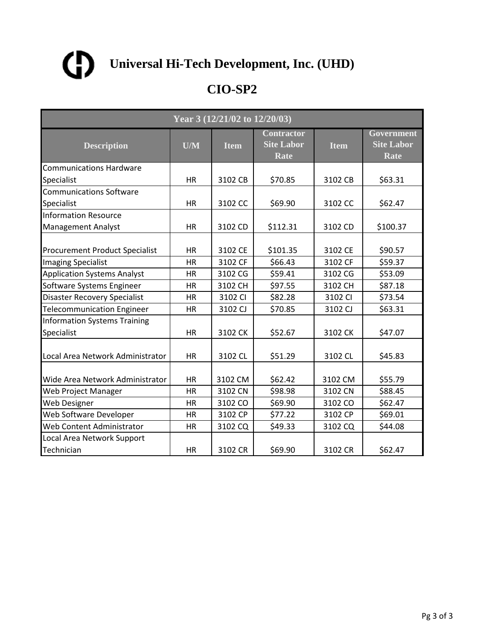

|                                                   | Year 3 (12/21/02 to 12/20/03) |             |                                                |             |                                         |  |  |  |
|---------------------------------------------------|-------------------------------|-------------|------------------------------------------------|-------------|-----------------------------------------|--|--|--|
| <b>Description</b>                                | U/M                           | <b>Item</b> | <b>Contractor</b><br><b>Site Labor</b><br>Rate | <b>Item</b> | Government<br><b>Site Labor</b><br>Rate |  |  |  |
| <b>Communications Hardware</b>                    |                               |             |                                                |             |                                         |  |  |  |
| Specialist                                        | HR                            | 3102 CB     | \$70.85                                        | 3102 CB     | \$63.31                                 |  |  |  |
| <b>Communications Software</b>                    |                               |             |                                                |             |                                         |  |  |  |
| Specialist                                        | <b>HR</b>                     | 3102 CC     | \$69.90                                        | 3102 CC     | \$62.47                                 |  |  |  |
| <b>Information Resource</b>                       |                               |             |                                                |             |                                         |  |  |  |
| <b>Management Analyst</b>                         | <b>HR</b>                     | 3102 CD     | \$112.31                                       | 3102 CD     | \$100.37                                |  |  |  |
| <b>Procurement Product Specialist</b>             | <b>HR</b>                     | 3102 CE     | \$101.35                                       | 3102 CE     | \$90.57                                 |  |  |  |
| <b>Imaging Specialist</b>                         | <b>HR</b>                     | 3102 CF     | \$66.43                                        | 3102 CF     | \$59.37                                 |  |  |  |
| <b>Application Systems Analyst</b>                | HR                            | 3102 CG     | \$59.41                                        | 3102 CG     | \$53.09                                 |  |  |  |
| Software Systems Engineer                         | <b>HR</b>                     | 3102 CH     | \$97.55                                        | 3102 CH     | \$87.18                                 |  |  |  |
| <b>Disaster Recovery Specialist</b>               | <b>HR</b>                     | 3102 CI     | \$82.28                                        | 3102 CI     | \$73.54                                 |  |  |  |
| <b>Telecommunication Engineer</b>                 | HR                            | 3102 CJ     | \$70.85                                        | 3102 CJ     | \$63.31                                 |  |  |  |
| <b>Information Systems Training</b><br>Specialist | <b>HR</b>                     | 3102 CK     | \$52.67                                        | 3102 CK     | \$47.07                                 |  |  |  |
| Local Area Network Administrator                  | <b>HR</b>                     | 3102 CL     | \$51.29                                        | 3102 CL     | \$45.83                                 |  |  |  |
| Wide Area Network Administrator                   | <b>HR</b>                     | 3102 CM     | \$62.42                                        | 3102 CM     | \$55.79                                 |  |  |  |
| Web Project Manager                               | <b>HR</b>                     | 3102 CN     | \$98.98                                        | 3102 CN     | \$88.45                                 |  |  |  |
| <b>Web Designer</b>                               | HR                            | 3102 CO     | \$69.90                                        | 3102 CO     | \$62.47                                 |  |  |  |
| Web Software Developer                            | HR                            | 3102 CP     | \$77.22                                        | 3102 CP     | \$69.01                                 |  |  |  |
| Web Content Administrator                         | HR                            | 3102 CQ     | \$49.33                                        | 3102 CQ     | \$44.08                                 |  |  |  |
| Local Area Network Support                        |                               |             |                                                |             |                                         |  |  |  |
| Technician                                        | <b>HR</b>                     | 3102 CR     | \$69.90                                        | 3102 CR     | \$62.47                                 |  |  |  |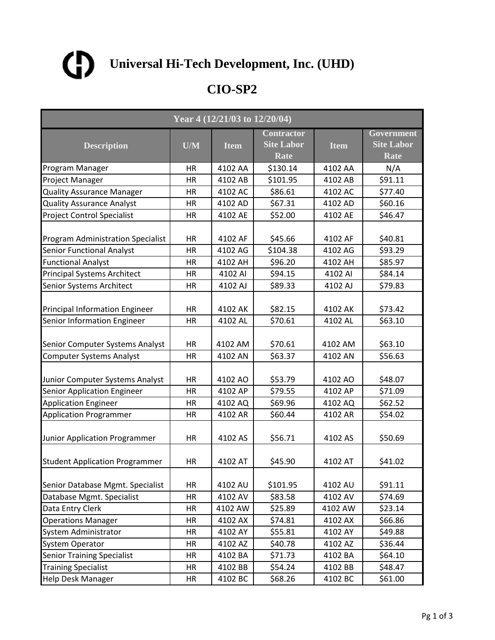

| Year 4 (12/21/03 to 12/20/04)                                  |                 |                    |                                                |                    |                                                |  |
|----------------------------------------------------------------|-----------------|--------------------|------------------------------------------------|--------------------|------------------------------------------------|--|
| <b>Description</b>                                             | U/M             | <b>Item</b>        | <b>Contractor</b><br><b>Site Labor</b><br>Rate | <b>Item</b>        | Government<br><b>Site Labor</b><br><b>Rate</b> |  |
| Program Manager                                                | HR              | 4102 AA            | \$130.14                                       | 4102 AA            | N/A                                            |  |
| Project Manager                                                | HR              | 4102 AB            | \$101.95                                       | 4102 AB            | \$91.11                                        |  |
| <b>Quality Assurance Manager</b>                               | HR              | 4102 AC            | \$86.61                                        | 4102 AC            | \$77.40                                        |  |
| <b>Quality Assurance Analyst</b>                               | HR              | 4102 AD            | \$67.31                                        | 4102 AD            | \$60.16                                        |  |
| <b>Project Control Specialist</b>                              | <b>HR</b>       | 4102 AE            | \$52.00                                        | 4102 AE            | \$46.47                                        |  |
| <b>Program Administration Specialist</b>                       | HR              | 4102 AF            | \$45.66                                        | 4102 AF            | \$40.81                                        |  |
| <b>Senior Functional Analyst</b>                               | HR              | 4102 AG            | \$104.38                                       | 4102 AG            | \$93.29                                        |  |
| <b>Functional Analyst</b>                                      | HR              | 4102 AH            | \$96.20                                        | 4102 AH            | \$85.97                                        |  |
| <b>Principal Systems Architect</b>                             | HR              | 4102 AI            | \$94.15                                        | 4102 AI            | \$84.14                                        |  |
| <b>Senior Systems Architect</b>                                | <b>HR</b>       | 4102 AJ            | \$89.33                                        | 4102 AJ            | \$79.83                                        |  |
| Principal Information Engineer                                 | HR              | 4102 AK            | \$82.15                                        | 4102 AK            | \$73.42                                        |  |
| Senior Information Engineer                                    | HR              | 4102 AL            | \$70.61                                        | 4102 AL            | \$63.10                                        |  |
| Senior Computer Systems Analyst                                | HR              | 4102 AM            | \$70.61                                        | 4102 AM            | \$63.10                                        |  |
| <b>Computer Systems Analyst</b>                                | <b>HR</b>       | 4102 AN            | \$63.37                                        | 4102 AN            | \$56.63                                        |  |
| Junior Computer Systems Analyst<br>Senior Application Engineer | HR<br><b>HR</b> | 4102 AO<br>4102 AP | \$53.79<br>\$79.55                             | 4102 AO<br>4102 AP | \$48.07<br>\$71.09                             |  |
| <b>Application Engineer</b>                                    | HR              | 4102 AQ            | \$69.96                                        | 4102 AQ            | \$62.52                                        |  |
| Application Programmer                                         | HR              | 4102 AR            | \$60.44                                        | 4102 AR            | \$54.02                                        |  |
| Junior Application Programmer                                  | <b>HR</b>       | 4102 AS            | \$56.71                                        | 4102 AS            | \$50.69                                        |  |
| <b>Student Application Programmer</b>                          | HR              | 4102 AT            | \$45.90                                        | 4102 AT            | \$41.02                                        |  |
| Senior Database Mgmt. Specialist                               | HR              | 4102 AU            | \$101.95                                       | 4102 AU            | \$91.11                                        |  |
| Database Mgmt. Specialist                                      | <b>HR</b>       | 4102 AV            | \$83.58                                        | 4102 AV            | \$74.69                                        |  |
| Data Entry Clerk                                               | HR              | 4102 AW            | \$25.89                                        | 4102 AW            | \$23.14                                        |  |
| <b>Operations Manager</b>                                      | <b>HR</b>       | 4102 AX            | \$74.81                                        | 4102 AX            | \$66.86                                        |  |
| System Administrator                                           | HR              | 4102 AY            | \$55.81                                        | 4102 AY            | \$49.88                                        |  |
| <b>System Operator</b>                                         | HR              | 4102 AZ            | \$40.78                                        | 4102 AZ            | \$36.44                                        |  |
| <b>Senior Training Specialist</b>                              | HR              | 4102 BA            | \$71.73                                        | 4102 BA            | \$64.10                                        |  |
| <b>Training Specialist</b>                                     | HR              | 4102 BB            | \$54.24                                        | 4102 BB            | \$48.47                                        |  |
| <b>Help Desk Manager</b>                                       | HR              | 4102 BC            | \$68.26                                        | 4102 BC            | \$61.00                                        |  |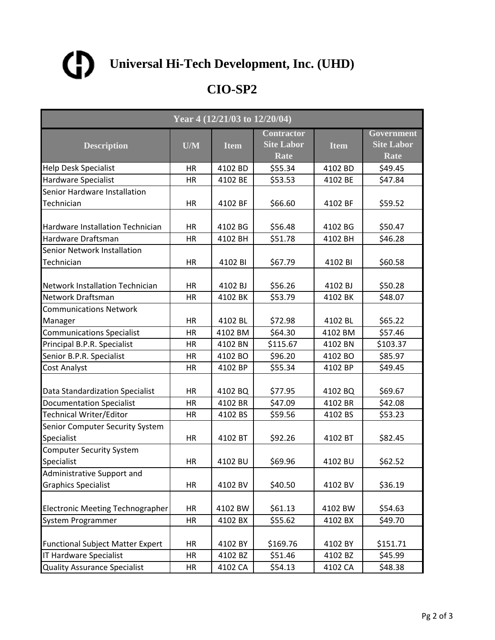

| Year 4 (12/21/03 to 12/20/04)                 |           |             |                                                |             |                                                |  |  |
|-----------------------------------------------|-----------|-------------|------------------------------------------------|-------------|------------------------------------------------|--|--|
| <b>Description</b>                            | U/M       | <b>Item</b> | <b>Contractor</b><br><b>Site Labor</b><br>Rate | <b>Item</b> | Government<br><b>Site Labor</b><br><b>Rate</b> |  |  |
| <b>Help Desk Specialist</b>                   | HR        | 4102 BD     | \$55.34                                        | 4102 BD     | \$49.45                                        |  |  |
| Hardware Specialist                           | HR        | 4102 BE     | \$53.53                                        | 4102 BE     | \$47.84                                        |  |  |
| Senior Hardware Installation                  |           |             |                                                |             |                                                |  |  |
| Technician                                    | HR        | 4102 BF     | \$66.60                                        | 4102 BF     | \$59.52                                        |  |  |
| Hardware Installation Technician              | HR        | 4102 BG     | \$56.48                                        | 4102 BG     | \$50.47                                        |  |  |
| Hardware Draftsman                            | HR        | 4102 BH     | \$51.78                                        | 4102 BH     | \$46.28                                        |  |  |
| Senior Network Installation                   |           |             |                                                |             |                                                |  |  |
| Technician                                    | HR        | 4102 BI     | \$67.79                                        | 4102 BI     | \$60.58                                        |  |  |
| <b>Network Installation Technician</b>        | HR        | 4102 BJ     | \$56.26                                        | 4102 BJ     | \$50.28                                        |  |  |
| Network Draftsman                             | HR        | 4102 BK     | \$53.79                                        | 4102 BK     | \$48.07                                        |  |  |
| <b>Communications Network</b>                 |           |             |                                                |             |                                                |  |  |
| Manager                                       | HR        | 4102 BL     | \$72.98                                        | 4102 BL     | \$65.22                                        |  |  |
| <b>Communications Specialist</b>              | HR        | 4102 BM     | \$64.30                                        | 4102 BM     | \$57.46                                        |  |  |
| Principal B.P.R. Specialist                   | <b>HR</b> | 4102 BN     | \$115.67                                       | 4102 BN     | \$103.37                                       |  |  |
| Senior B.P.R. Specialist                      | <b>HR</b> | 4102 BO     | \$96.20                                        | 4102 BO     | \$85.97                                        |  |  |
| Cost Analyst                                  | HR        | 4102 BP     | \$55.34                                        | 4102 BP     | \$49.45                                        |  |  |
| Data Standardization Specialist               | <b>HR</b> | 4102 BQ     | \$77.95                                        | 4102 BQ     | \$69.67                                        |  |  |
| <b>Documentation Specialist</b>               | HR        | 4102 BR     | \$47.09                                        | 4102 BR     | \$42.08                                        |  |  |
| <b>Technical Writer/Editor</b>                | <b>HR</b> | 4102 BS     | \$59.56                                        | 4102 BS     | \$53.23                                        |  |  |
| Senior Computer Security System<br>Specialist | <b>HR</b> | 4102 BT     | \$92.26                                        | 4102 BT     | \$82.45                                        |  |  |
| <b>Computer Security System</b>               |           |             |                                                |             |                                                |  |  |
| Specialist                                    | HR        | 4102 BU     | \$69.96                                        | 4102 BU     | \$62.52                                        |  |  |
| Administrative Support and                    |           |             |                                                |             |                                                |  |  |
| <b>Graphics Specialist</b>                    | HR        | 4102 BV     | \$40.50                                        | 4102 BV     | \$36.19                                        |  |  |
| <b>Electronic Meeting Technographer</b>       | HR        | 4102 BW     | \$61.13                                        | 4102 BW     | \$54.63                                        |  |  |
| System Programmer                             | <b>HR</b> | 4102 BX     | \$55.62                                        | 4102 BX     | \$49.70                                        |  |  |
| <b>Functional Subject Matter Expert</b>       | HR        | 4102 BY     | \$169.76                                       | 4102 BY     | \$151.71                                       |  |  |
| <b>IT Hardware Specialist</b>                 | HR        | 4102 BZ     | \$51.46                                        | 4102 BZ     | \$45.99                                        |  |  |
| <b>Quality Assurance Specialist</b>           | HR        | 4102 CA     | \$54.13                                        | 4102 CA     | \$48.38                                        |  |  |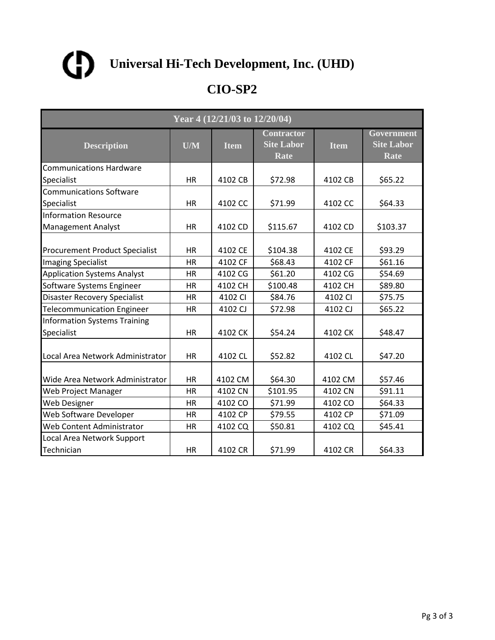

| Year 4 (12/21/03 to 12/20/04)                     |           |             |                                                |             |                                         |  |  |
|---------------------------------------------------|-----------|-------------|------------------------------------------------|-------------|-----------------------------------------|--|--|
| <b>Description</b>                                | U/M       | <b>Item</b> | <b>Contractor</b><br><b>Site Labor</b><br>Rate | <b>Item</b> | Government<br><b>Site Labor</b><br>Rate |  |  |
| <b>Communications Hardware</b>                    |           |             |                                                |             |                                         |  |  |
| Specialist                                        | HR        | 4102 CB     | \$72.98                                        | 4102 CB     | \$65.22                                 |  |  |
| <b>Communications Software</b>                    |           |             |                                                |             |                                         |  |  |
| Specialist                                        | <b>HR</b> | 4102 CC     | \$71.99                                        | 4102 CC     | \$64.33                                 |  |  |
| <b>Information Resource</b>                       |           |             |                                                |             |                                         |  |  |
| <b>Management Analyst</b>                         | <b>HR</b> | 4102 CD     | \$115.67                                       | 4102 CD     | \$103.37                                |  |  |
| <b>Procurement Product Specialist</b>             | <b>HR</b> | 4102 CE     | \$104.38                                       | 4102 CE     | \$93.29                                 |  |  |
| <b>Imaging Specialist</b>                         | <b>HR</b> | 4102 CF     | \$68.43                                        | 4102 CF     | \$61.16                                 |  |  |
| <b>Application Systems Analyst</b>                | HR        | 4102 CG     | \$61.20                                        | 4102 CG     | \$54.69                                 |  |  |
| Software Systems Engineer                         | <b>HR</b> | 4102 CH     | \$100.48                                       | 4102 CH     | \$89.80                                 |  |  |
| <b>Disaster Recovery Specialist</b>               | <b>HR</b> | 4102 CI     | \$84.76                                        | 4102 CI     | \$75.75                                 |  |  |
| <b>Telecommunication Engineer</b>                 | HR        | 4102 CJ     | \$72.98                                        | 4102 CJ     | \$65.22                                 |  |  |
| <b>Information Systems Training</b><br>Specialist | <b>HR</b> | 4102 CK     | \$54.24                                        | 4102 CK     | \$48.47                                 |  |  |
| Local Area Network Administrator                  | <b>HR</b> | 4102 CL     | \$52.82                                        | 4102 CL     | \$47.20                                 |  |  |
| Wide Area Network Administrator                   | <b>HR</b> | 4102 CM     | \$64.30                                        | 4102 CM     | \$57.46                                 |  |  |
| Web Project Manager                               | <b>HR</b> | 4102 CN     | \$101.95                                       | 4102 CN     | \$91.11                                 |  |  |
| <b>Web Designer</b>                               | HR        | 4102 CO     | \$71.99                                        | 4102 CO     | \$64.33                                 |  |  |
| Web Software Developer                            | HR        | 4102 CP     | \$79.55                                        | 4102 CP     | \$71.09                                 |  |  |
| Web Content Administrator                         | HR        | 4102 CQ     | \$50.81                                        | 4102 CQ     | \$45.41                                 |  |  |
| Local Area Network Support                        |           |             |                                                |             |                                         |  |  |
| Technician                                        | <b>HR</b> | 4102 CR     | \$71.99                                        | 4102 CR     | \$64.33                                 |  |  |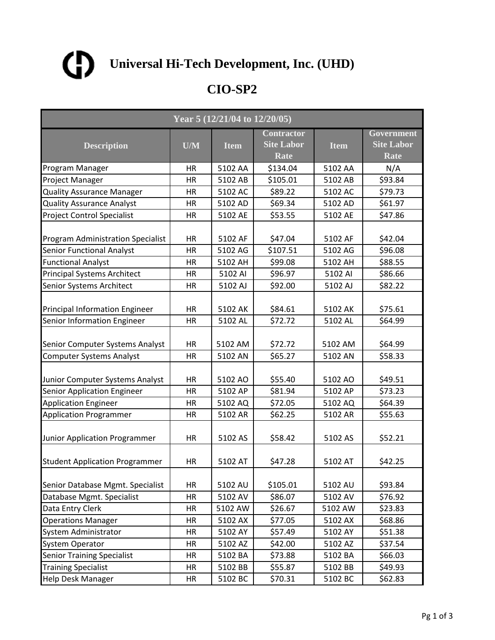

| Year 5 (12/21/04 to 12/20/05)                                  |                 |                    |                                                |                    |                                                |  |
|----------------------------------------------------------------|-----------------|--------------------|------------------------------------------------|--------------------|------------------------------------------------|--|
| <b>Description</b>                                             | U/M             | <b>Item</b>        | <b>Contractor</b><br><b>Site Labor</b><br>Rate | <b>Item</b>        | Government<br><b>Site Labor</b><br><b>Rate</b> |  |
| Program Manager                                                | HR              | 5102 AA            | \$134.04                                       | 5102 AA            | N/A                                            |  |
| Project Manager                                                | HR              | 5102 AB            | \$105.01                                       | 5102 AB            | \$93.84                                        |  |
| <b>Quality Assurance Manager</b>                               | HR              | 5102 AC            | \$89.22                                        | 5102 AC            | \$79.73                                        |  |
| <b>Quality Assurance Analyst</b>                               | HR              | 5102 AD            | \$69.34                                        | 5102 AD            | \$61.97                                        |  |
| <b>Project Control Specialist</b>                              | <b>HR</b>       | 5102 AE            | \$53.55                                        | 5102 AE            | \$47.86                                        |  |
| <b>Program Administration Specialist</b>                       | HR              | 5102 AF            | \$47.04                                        | 5102 AF            | \$42.04                                        |  |
| <b>Senior Functional Analyst</b>                               | <b>HR</b>       | 5102 AG            | \$107.51                                       | 5102 AG            | \$96.08                                        |  |
| <b>Functional Analyst</b>                                      | HR              | 5102 AH            | \$99.08                                        | 5102 AH            | \$88.55                                        |  |
| <b>Principal Systems Architect</b>                             | HR              | 5102 AI            | \$96.97                                        | 5102 AI            | \$86.66                                        |  |
| <b>Senior Systems Architect</b>                                | <b>HR</b>       | 5102 AJ            | \$92.00                                        | 5102 AJ            | \$82.22                                        |  |
| Principal Information Engineer                                 | HR              | 5102 AK            | \$84.61                                        | 5102 AK            | \$75.61                                        |  |
| Senior Information Engineer                                    | HR              | 5102 AL            | \$72.72                                        | 5102 AL            | \$64.99                                        |  |
| Senior Computer Systems Analyst                                | HR              | 5102 AM            | \$72.72                                        | 5102 AM            | \$64.99                                        |  |
| <b>Computer Systems Analyst</b>                                | <b>HR</b>       | 5102 AN            | \$65.27                                        | 5102 AN            | \$58.33                                        |  |
| Junior Computer Systems Analyst<br>Senior Application Engineer | HR<br><b>HR</b> | 5102 AO<br>5102 AP | \$55.40<br>\$81.94                             | 5102 AO<br>5102 AP | \$49.51<br>\$73.23                             |  |
| <b>Application Engineer</b>                                    | HR              | 5102 AQ            | \$72.05                                        | 5102 AQ            | \$64.39                                        |  |
| Application Programmer                                         | HR              | 5102 AR            | \$62.25                                        | 5102 AR            | \$55.63                                        |  |
| Junior Application Programmer                                  | <b>HR</b>       | 5102 AS            | \$58.42                                        | 5102 AS            | \$52.21                                        |  |
| <b>Student Application Programmer</b>                          | HR              | 5102 AT            | \$47.28                                        | 5102 AT            | \$42.25                                        |  |
| Senior Database Mgmt. Specialist                               | HR              | 5102 AU            | \$105.01                                       | 5102 AU            | \$93.84                                        |  |
| Database Mgmt. Specialist                                      | <b>HR</b>       | 5102 AV            | \$86.07                                        | 5102 AV            | \$76.92                                        |  |
| Data Entry Clerk                                               | HR              | 5102 AW            | \$26.67                                        | 5102 AW            | \$23.83                                        |  |
| <b>Operations Manager</b>                                      | <b>HR</b>       | 5102 AX            | \$77.05                                        | 5102 AX            | \$68.86                                        |  |
| <b>System Administrator</b>                                    | HR              | 5102 AY            | \$57.49                                        | 5102 AY            | \$51.38                                        |  |
| <b>System Operator</b>                                         | HR              | 5102 AZ            | \$42.00                                        | 5102 AZ            | \$37.54                                        |  |
| <b>Senior Training Specialist</b>                              | HR              | 5102 BA            | \$73.88                                        | 5102 BA            | \$66.03                                        |  |
| <b>Training Specialist</b>                                     | HR              | 5102 BB            | \$55.87                                        | 5102 BB            | \$49.93                                        |  |
| <b>Help Desk Manager</b>                                       | HR              | 5102 BC            | \$70.31                                        | 5102 BC            | \$62.83                                        |  |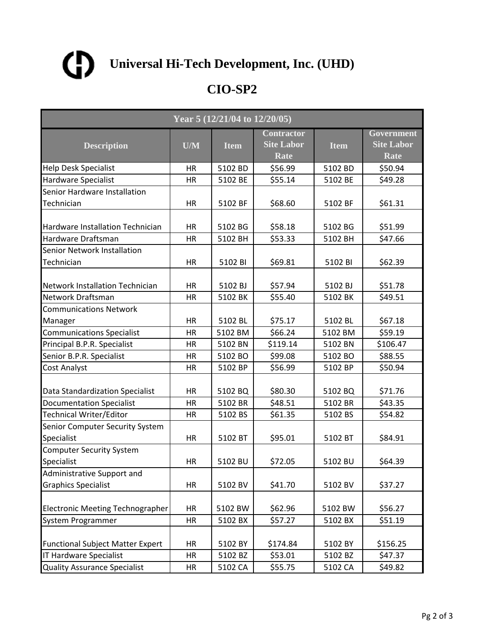

| Year 5 (12/21/04 to 12/20/05)                 |           |             |                                                |             |                                                |  |  |
|-----------------------------------------------|-----------|-------------|------------------------------------------------|-------------|------------------------------------------------|--|--|
| <b>Description</b>                            | U/M       | <b>Item</b> | <b>Contractor</b><br><b>Site Labor</b><br>Rate | <b>Item</b> | Government<br><b>Site Labor</b><br><b>Rate</b> |  |  |
| <b>Help Desk Specialist</b>                   | HR        | 5102 BD     | \$56.99                                        | 5102 BD     | \$50.94                                        |  |  |
| <b>Hardware Specialist</b>                    | HR        | 5102 BE     | \$55.14                                        | 5102 BE     | \$49.28                                        |  |  |
| Senior Hardware Installation                  |           |             |                                                |             |                                                |  |  |
| Technician                                    | HR        | 5102 BF     | \$68.60                                        | 5102 BF     | \$61.31                                        |  |  |
| Hardware Installation Technician              | <b>HR</b> | 5102 BG     | \$58.18                                        | 5102 BG     | \$51.99                                        |  |  |
| Hardware Draftsman                            | HR        | 5102 BH     | \$53.33                                        | 5102 BH     | \$47.66                                        |  |  |
| Senior Network Installation                   |           |             |                                                |             |                                                |  |  |
| Technician                                    | HR        | 5102 BI     | \$69.81                                        | 5102 BI     | \$62.39                                        |  |  |
| Network Installation Technician               | HR        | 5102 BJ     | \$57.94                                        | 5102 BJ     | \$51.78                                        |  |  |
| Network Draftsman                             | HR        | 5102 BK     | \$55.40                                        | 5102 BK     | \$49.51                                        |  |  |
| <b>Communications Network</b>                 |           |             |                                                |             |                                                |  |  |
| Manager                                       | HR        | 5102 BL     | \$75.17                                        | 5102 BL     | \$67.18                                        |  |  |
| <b>Communications Specialist</b>              | <b>HR</b> | 5102 BM     | \$66.24                                        | 5102 BM     | \$59.19                                        |  |  |
| Principal B.P.R. Specialist                   | <b>HR</b> | 5102 BN     | \$119.14                                       | 5102 BN     | \$106.47                                       |  |  |
| Senior B.P.R. Specialist                      | <b>HR</b> | 5102 BO     | \$99.08                                        | 5102 BO     | \$88.55                                        |  |  |
| Cost Analyst                                  | HR        | 5102 BP     | \$56.99                                        | 5102 BP     | \$50.94                                        |  |  |
| Data Standardization Specialist               | HR        | 5102 BQ     | \$80.30                                        | 5102 BQ     | \$71.76                                        |  |  |
| <b>Documentation Specialist</b>               | <b>HR</b> | 5102 BR     | \$48.51                                        | 5102 BR     | \$43.35                                        |  |  |
| Technical Writer/Editor                       | <b>HR</b> | 5102 BS     | \$61.35                                        | 5102 BS     | \$54.82                                        |  |  |
| Senior Computer Security System<br>Specialist | HR        | 5102 BT     | \$95.01                                        | 5102 BT     | \$84.91                                        |  |  |
| <b>Computer Security System</b>               |           |             |                                                |             |                                                |  |  |
| Specialist                                    | HR        | 5102 BU     | \$72.05                                        | 5102 BU     | \$64.39                                        |  |  |
| Administrative Support and                    |           |             |                                                |             |                                                |  |  |
| <b>Graphics Specialist</b>                    | HR        | 5102 BV     | \$41.70                                        | 5102 BV     | \$37.27                                        |  |  |
| Electronic Meeting Technographer              | HR        | 5102 BW     | \$62.96                                        | 5102 BW     | \$56.27                                        |  |  |
| System Programmer                             | HR        | 5102 BX     | \$57.27                                        | 5102 BX     | \$51.19                                        |  |  |
| <b>Functional Subject Matter Expert</b>       | HR        | 5102 BY     | \$174.84                                       | 5102 BY     | \$156.25                                       |  |  |
| <b>IT Hardware Specialist</b>                 | HR        | 5102 BZ     | \$53.01                                        | 5102 BZ     | \$47.37                                        |  |  |
| <b>Quality Assurance Specialist</b>           | HR        | 5102 CA     | \$55.75                                        | 5102 CA     | \$49.82                                        |  |  |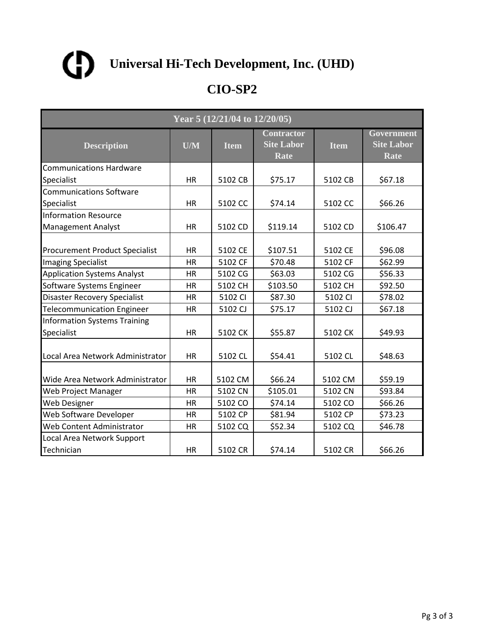

| Year 5 (12/21/04 to 12/20/05)                     |           |             |                                                |             |                                         |  |  |
|---------------------------------------------------|-----------|-------------|------------------------------------------------|-------------|-----------------------------------------|--|--|
| <b>Description</b>                                | U/M       | <b>Item</b> | <b>Contractor</b><br><b>Site Labor</b><br>Rate | <b>Item</b> | Government<br><b>Site Labor</b><br>Rate |  |  |
| <b>Communications Hardware</b>                    |           |             |                                                |             |                                         |  |  |
| Specialist                                        | HR        | 5102 CB     | \$75.17                                        | 5102 CB     | \$67.18                                 |  |  |
| <b>Communications Software</b>                    |           |             |                                                |             |                                         |  |  |
| Specialist                                        | <b>HR</b> | 5102 CC     | \$74.14                                        | 5102 CC     | \$66.26                                 |  |  |
| <b>Information Resource</b>                       |           |             |                                                |             |                                         |  |  |
| <b>Management Analyst</b>                         | <b>HR</b> | 5102 CD     | \$119.14                                       | 5102 CD     | \$106.47                                |  |  |
| <b>Procurement Product Specialist</b>             | <b>HR</b> | 5102 CE     | \$107.51                                       | 5102 CE     | \$96.08                                 |  |  |
| <b>Imaging Specialist</b>                         | <b>HR</b> | 5102 CF     | \$70.48                                        | 5102 CF     | \$62.99                                 |  |  |
| <b>Application Systems Analyst</b>                | HR        | 5102 CG     | \$63.03                                        | 5102 CG     | \$56.33                                 |  |  |
| Software Systems Engineer                         | <b>HR</b> | 5102 CH     | \$103.50                                       | 5102 CH     | \$92.50                                 |  |  |
| <b>Disaster Recovery Specialist</b>               | <b>HR</b> | 5102 CI     | \$87.30                                        | 5102 CI     | \$78.02                                 |  |  |
| <b>Telecommunication Engineer</b>                 | HR        | 5102 CJ     | \$75.17                                        | 5102 CJ     | \$67.18                                 |  |  |
| <b>Information Systems Training</b><br>Specialist | <b>HR</b> | 5102 CK     | \$55.87                                        | 5102 CK     | \$49.93                                 |  |  |
| Local Area Network Administrator                  | <b>HR</b> | 5102 CL     | \$54.41                                        | 5102 CL     | \$48.63                                 |  |  |
| Wide Area Network Administrator                   | <b>HR</b> | 5102 CM     | \$66.24                                        | 5102 CM     | \$59.19                                 |  |  |
| Web Project Manager                               | <b>HR</b> | 5102 CN     | \$105.01                                       | 5102 CN     | \$93.84                                 |  |  |
| <b>Web Designer</b>                               | HR        | 5102 CO     | \$74.14                                        | 5102 CO     | \$66.26                                 |  |  |
| Web Software Developer                            | HR        | 5102 CP     | \$81.94                                        | 5102 CP     | \$73.23                                 |  |  |
| Web Content Administrator                         | HR        | 5102 CQ     | \$52.34                                        | 5102 CQ     | \$46.78                                 |  |  |
| Local Area Network Support                        |           |             |                                                |             |                                         |  |  |
| Technician                                        | <b>HR</b> | 5102 CR     | \$74.14                                        | 5102 CR     | \$66.26                                 |  |  |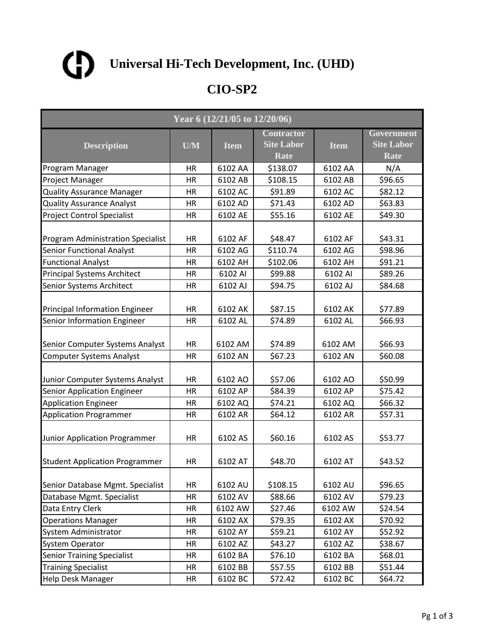

| Year 6 (12/21/05 to 12/20/06)                                         |                 |                    |                                                |                    |                                                |  |
|-----------------------------------------------------------------------|-----------------|--------------------|------------------------------------------------|--------------------|------------------------------------------------|--|
| <b>Description</b>                                                    | U/M             | <b>Item</b>        | <b>Contractor</b><br><b>Site Labor</b><br>Rate | <b>Item</b>        | Government<br><b>Site Labor</b><br><b>Rate</b> |  |
| Program Manager                                                       | HR              | 6102 AA            | \$138.07                                       | 6102 AA            | N/A                                            |  |
| Project Manager                                                       | HR              | 6102 AB            | \$108.15                                       | 6102 AB            | \$96.65                                        |  |
| <b>Quality Assurance Manager</b>                                      | HR              | 6102 AC            | \$91.89                                        | 6102 AC            | \$82.12                                        |  |
| <b>Quality Assurance Analyst</b>                                      | HR              | 6102 AD            | \$71.43                                        | 6102 AD            | \$63.83                                        |  |
| <b>Project Control Specialist</b>                                     | <b>HR</b>       | 6102 AE            | \$55.16                                        | 6102 AE            | \$49.30                                        |  |
| <b>Program Administration Specialist</b>                              | HR              | 6102 AF            | \$48.47                                        | 6102 AF            | \$43.31                                        |  |
| <b>Senior Functional Analyst</b>                                      | <b>HR</b>       | 6102 AG            | \$110.74                                       | 6102 AG            | \$98.96                                        |  |
| <b>Functional Analyst</b>                                             | HR              | 6102 AH            | \$102.06                                       | 6102 AH            | \$91.21                                        |  |
| <b>Principal Systems Architect</b>                                    | HR              | 6102 AI            | \$99.88                                        | 6102 AI            | \$89.26                                        |  |
| <b>Senior Systems Architect</b>                                       | <b>HR</b>       | 6102 AJ            | \$94.75                                        | 6102 AJ            | \$84.68                                        |  |
| Principal Information Engineer                                        | HR              | 6102 AK            | \$87.15                                        | 6102 AK            | \$77.89                                        |  |
| Senior Information Engineer                                           | HR              | 6102 AL            | \$74.89                                        | 6102 AL            | \$66.93                                        |  |
| Senior Computer Systems Analyst                                       | HR              | 6102 AM            | \$74.89                                        | 6102 AM            | \$66.93                                        |  |
| <b>Computer Systems Analyst</b>                                       | <b>HR</b>       | 6102 AN            | \$67.23                                        | 6102 AN            | \$60.08                                        |  |
| Junior Computer Systems Analyst<br><b>Senior Application Engineer</b> | HR<br><b>HR</b> | 6102 AO<br>6102 AP | \$57.06                                        | 6102 AO<br>6102 AP | \$50.99<br>\$75.42                             |  |
|                                                                       |                 |                    | \$84.39                                        |                    |                                                |  |
| <b>Application Engineer</b>                                           | HR              | 6102 AQ            | \$74.21                                        | 6102 AQ            | \$66.32<br>\$57.31                             |  |
| Application Programmer                                                | HR              | 6102 AR            | \$64.12                                        | 6102 AR            |                                                |  |
| Junior Application Programmer                                         | <b>HR</b>       | 6102 AS            | \$60.16                                        | 6102 AS            | \$53.77                                        |  |
| <b>Student Application Programmer</b>                                 | HR              | 6102 AT            | \$48.70                                        | 6102 AT            | \$43.52                                        |  |
| Senior Database Mgmt. Specialist                                      | HR              | 6102 AU            | \$108.15                                       | 6102 AU            | \$96.65                                        |  |
| Database Mgmt. Specialist                                             | <b>HR</b>       | 6102 AV            | \$88.66                                        | 6102 AV            | \$79.23                                        |  |
| Data Entry Clerk                                                      | HR              | 6102 AW            | \$27.46                                        | 6102 AW            | \$24.54                                        |  |
| <b>Operations Manager</b>                                             | HR              | 6102 AX            | \$79.35                                        | 6102 AX            | \$70.92                                        |  |
| <b>System Administrator</b>                                           | HR              | 6102 AY            | \$59.21                                        | 6102 AY            | \$52.92                                        |  |
| <b>System Operator</b>                                                | HR              | 6102 AZ            | \$43.27                                        | 6102 AZ            | \$38.67                                        |  |
| <b>Senior Training Specialist</b>                                     | HR              | 6102 BA            | \$76.10                                        | 6102 BA            | \$68.01                                        |  |
| <b>Training Specialist</b>                                            | HR              | 6102 BB            | \$57.55                                        | 6102 BB            | \$51.44                                        |  |
| <b>Help Desk Manager</b>                                              | HR              | 6102 BC            | \$72.42                                        | 6102 BC            | \$64.72                                        |  |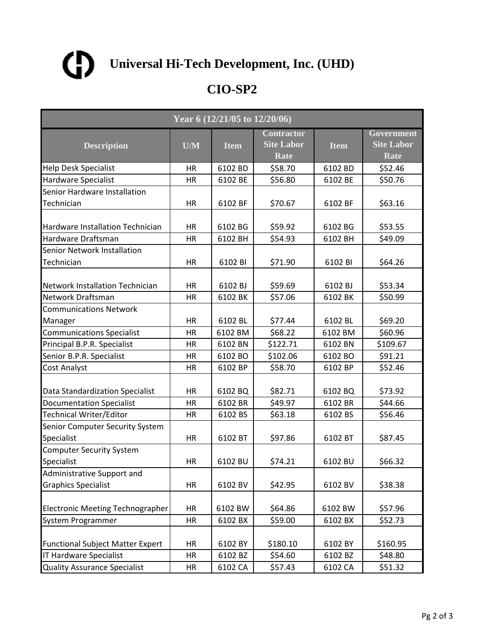

| Year 6 (12/21/05 to 12/20/06)                 |           |             |                                                |             |                                                |  |  |
|-----------------------------------------------|-----------|-------------|------------------------------------------------|-------------|------------------------------------------------|--|--|
| <b>Description</b>                            | U/M       | <b>Item</b> | <b>Contractor</b><br><b>Site Labor</b><br>Rate | <b>Item</b> | Government<br><b>Site Labor</b><br><b>Rate</b> |  |  |
| <b>Help Desk Specialist</b>                   | HR        | 6102 BD     | \$58.70                                        | 6102 BD     | \$52.46                                        |  |  |
| Hardware Specialist                           | HR        | 6102 BE     | \$56.80                                        | 6102 BE     | \$50.76                                        |  |  |
| Senior Hardware Installation                  |           |             |                                                |             |                                                |  |  |
| Technician                                    | HR        | 6102 BF     | \$70.67                                        | 6102 BF     | \$63.16                                        |  |  |
| Hardware Installation Technician              | HR        | 6102 BG     | \$59.92                                        | 6102 BG     | \$53.55                                        |  |  |
| Hardware Draftsman                            | HR        | 6102 BH     | \$54.93                                        | 6102 BH     | \$49.09                                        |  |  |
| Senior Network Installation                   |           |             |                                                |             |                                                |  |  |
| Technician                                    | HR        | 6102 BI     | \$71.90                                        | 6102 BI     | \$64.26                                        |  |  |
| <b>Network Installation Technician</b>        | HR        | 6102 BJ     | \$59.69                                        | 6102 BJ     | \$53.34                                        |  |  |
| Network Draftsman                             | HR        | 6102 BK     | \$57.06                                        | 6102 BK     | \$50.99                                        |  |  |
| <b>Communications Network</b>                 |           |             |                                                |             |                                                |  |  |
| Manager                                       | HR        | 6102 BL     | \$77.44                                        | 6102 BL     | \$69.20                                        |  |  |
| <b>Communications Specialist</b>              | HR        | 6102 BM     | \$68.22                                        | 6102 BM     | \$60.96                                        |  |  |
| Principal B.P.R. Specialist                   | <b>HR</b> | 6102 BN     | \$122.71                                       | 6102 BN     | \$109.67                                       |  |  |
| Senior B.P.R. Specialist                      | <b>HR</b> | 6102 BO     | \$102.06                                       | 6102 BO     | \$91.21                                        |  |  |
| Cost Analyst                                  | HR        | 6102 BP     | \$58.70                                        | 6102 BP     | \$52.46                                        |  |  |
| Data Standardization Specialist               | <b>HR</b> | 6102 BQ     | \$82.71                                        | 6102 BQ     | \$73.92                                        |  |  |
| <b>Documentation Specialist</b>               | HR        | 6102 BR     | \$49.97                                        | 6102 BR     | \$44.66                                        |  |  |
| Technical Writer/Editor                       | <b>HR</b> | 6102 BS     | \$63.18                                        | 6102 BS     | \$56.46                                        |  |  |
| Senior Computer Security System<br>Specialist | <b>HR</b> | 6102 BT     | \$97.86                                        | 6102 BT     | \$87.45                                        |  |  |
| <b>Computer Security System</b>               |           |             |                                                |             |                                                |  |  |
| Specialist                                    | HR        | 6102 BU     | \$74.21                                        | 6102 BU     | \$66.32                                        |  |  |
| Administrative Support and                    |           |             |                                                |             |                                                |  |  |
| <b>Graphics Specialist</b>                    | HR        | 6102 BV     | \$42.95                                        | 6102 BV     | \$38.38                                        |  |  |
| <b>Electronic Meeting Technographer</b>       | HR        | 6102 BW     | \$64.86                                        | 6102 BW     | \$57.96                                        |  |  |
| System Programmer                             | <b>HR</b> | 6102 BX     | \$59.00                                        | 6102 BX     | \$52.73                                        |  |  |
| <b>Functional Subject Matter Expert</b>       | HR        | 6102 BY     | \$180.10                                       | 6102 BY     | \$160.95                                       |  |  |
| <b>IT Hardware Specialist</b>                 | HR        | 6102 BZ     | \$54.60                                        | 6102 BZ     | \$48.80                                        |  |  |
| <b>Quality Assurance Specialist</b>           | HR        | 6102 CA     | \$57.43                                        | 6102 CA     | \$51.32                                        |  |  |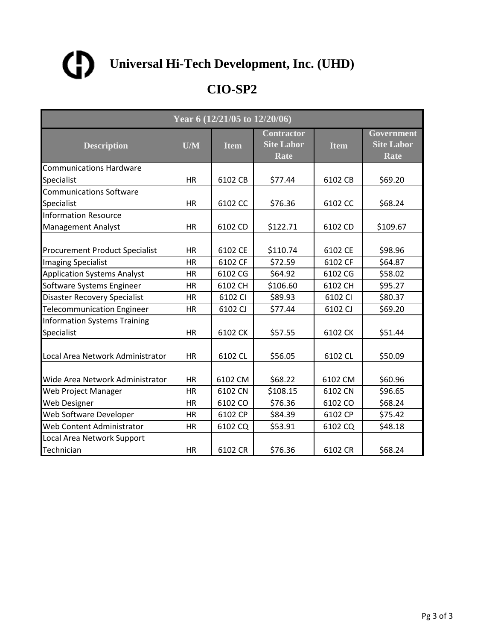

| Year 6 (12/21/05 to 12/20/06)                     |           |             |                                                |             |                                         |  |  |
|---------------------------------------------------|-----------|-------------|------------------------------------------------|-------------|-----------------------------------------|--|--|
| <b>Description</b>                                | U/M       | <b>Item</b> | <b>Contractor</b><br><b>Site Labor</b><br>Rate | <b>Item</b> | Government<br><b>Site Labor</b><br>Rate |  |  |
| <b>Communications Hardware</b>                    |           |             |                                                |             |                                         |  |  |
| Specialist                                        | HR        | 6102 CB     | \$77.44                                        | 6102 CB     | \$69.20                                 |  |  |
| <b>Communications Software</b>                    |           |             |                                                |             |                                         |  |  |
| Specialist                                        | <b>HR</b> | 6102 CC     | \$76.36                                        | 6102 CC     | \$68.24                                 |  |  |
| <b>Information Resource</b>                       |           |             |                                                |             |                                         |  |  |
| <b>Management Analyst</b>                         | <b>HR</b> | 6102 CD     | \$122.71                                       | 6102 CD     | \$109.67                                |  |  |
| <b>Procurement Product Specialist</b>             | <b>HR</b> | 6102 CE     | \$110.74                                       | 6102 CE     | \$98.96                                 |  |  |
| <b>Imaging Specialist</b>                         | <b>HR</b> | 6102 CF     | \$72.59                                        | 6102 CF     | \$64.87                                 |  |  |
| <b>Application Systems Analyst</b>                | HR        | 6102 CG     | \$64.92                                        | 6102 CG     | \$58.02                                 |  |  |
| Software Systems Engineer                         | <b>HR</b> | 6102 CH     | \$106.60                                       | 6102 CH     | \$95.27                                 |  |  |
| <b>Disaster Recovery Specialist</b>               | <b>HR</b> | 6102 CI     | \$89.93                                        | 6102 CI     | \$80.37                                 |  |  |
| <b>Telecommunication Engineer</b>                 | HR        | 6102 CJ     | \$77.44                                        | 6102 CJ     | \$69.20                                 |  |  |
| <b>Information Systems Training</b><br>Specialist | <b>HR</b> | 6102 CK     | \$57.55                                        | 6102 CK     | \$51.44                                 |  |  |
| Local Area Network Administrator                  | <b>HR</b> | 6102 CL     | \$56.05                                        | 6102 CL     | \$50.09                                 |  |  |
| Wide Area Network Administrator                   | <b>HR</b> | 6102 CM     | \$68.22                                        | 6102 CM     | \$60.96                                 |  |  |
| Web Project Manager                               | <b>HR</b> | 6102 CN     | \$108.15                                       | 6102 CN     | \$96.65                                 |  |  |
| <b>Web Designer</b>                               | HR        | 6102 CO     | \$76.36                                        | 6102 CO     | \$68.24                                 |  |  |
| Web Software Developer                            | HR        | 6102 CP     | \$84.39                                        | 6102 CP     | \$75.42                                 |  |  |
| Web Content Administrator                         | HR        | 6102 CQ     | \$53.91                                        | 6102 CQ     | \$48.18                                 |  |  |
| Local Area Network Support                        |           |             |                                                |             |                                         |  |  |
| Technician                                        | <b>HR</b> | 6102 CR     | \$76.36                                        | 6102 CR     | \$68.24                                 |  |  |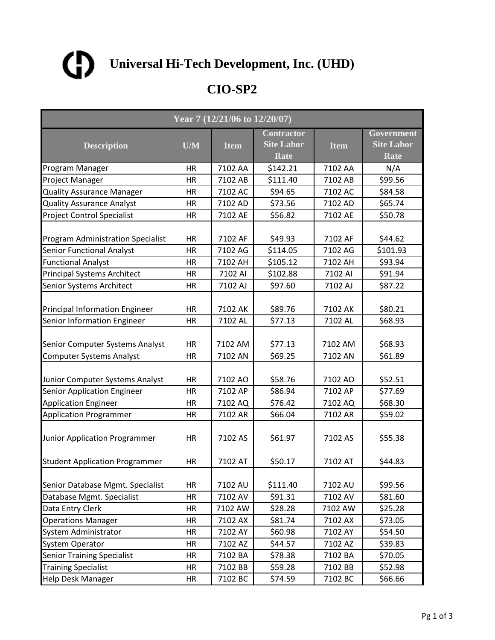

| Year 7 (12/21/06 to 12/20/07)                                         |                 |                    |                                                |                    |                                                |  |
|-----------------------------------------------------------------------|-----------------|--------------------|------------------------------------------------|--------------------|------------------------------------------------|--|
| <b>Description</b>                                                    | U/M             | <b>Item</b>        | <b>Contractor</b><br><b>Site Labor</b><br>Rate | <b>Item</b>        | Government<br><b>Site Labor</b><br><b>Rate</b> |  |
| Program Manager                                                       | HR              | 7102 AA            | \$142.21                                       | 7102 AA            | N/A                                            |  |
| Project Manager                                                       | HR              | 7102 AB            | \$111.40                                       | 7102 AB            | \$99.56                                        |  |
| <b>Quality Assurance Manager</b>                                      | HR              | 7102 AC            | \$94.65                                        | 7102 AC            | \$84.58                                        |  |
| <b>Quality Assurance Analyst</b>                                      | HR              | 7102 AD            | \$73.56                                        | 7102 AD            | \$65.74                                        |  |
| <b>Project Control Specialist</b>                                     | <b>HR</b>       | 7102 AE            | \$56.82                                        | 7102 AE            | \$50.78                                        |  |
| <b>Program Administration Specialist</b>                              | HR              | 7102 AF            | \$49.93                                        | 7102 AF            | \$44.62                                        |  |
| <b>Senior Functional Analyst</b>                                      | <b>HR</b>       | 7102 AG            | \$114.05                                       | 7102 AG            | \$101.93                                       |  |
| <b>Functional Analyst</b>                                             | HR              | 7102 AH            | \$105.12                                       | 7102 AH            | \$93.94                                        |  |
| <b>Principal Systems Architect</b>                                    | HR              | 7102 AI            | \$102.88                                       | 7102 AI            | \$91.94                                        |  |
| <b>Senior Systems Architect</b>                                       | <b>HR</b>       | 7102 AJ            | \$97.60                                        | 7102 AJ            | \$87.22                                        |  |
| Principal Information Engineer                                        | HR              | 7102 AK            | \$89.76                                        | 7102 AK            | \$80.21                                        |  |
| Senior Information Engineer                                           | HR              | 7102 AL            | \$77.13                                        | 7102 AL            | \$68.93                                        |  |
| Senior Computer Systems Analyst                                       | HR              | 7102 AM            | \$77.13                                        | 7102 AM            | \$68.93                                        |  |
| <b>Computer Systems Analyst</b>                                       | <b>HR</b>       | 7102 AN            | \$69.25                                        | 7102 AN            | \$61.89                                        |  |
| Junior Computer Systems Analyst<br><b>Senior Application Engineer</b> | HR<br><b>HR</b> | 7102 AO<br>7102 AP | \$58.76<br>\$86.94                             | 7102 AO<br>7102 AP | \$52.51<br>\$77.69                             |  |
| <b>Application Engineer</b>                                           | HR              | 7102 AQ            | \$76.42                                        | 7102 AQ            | \$68.30                                        |  |
| Application Programmer                                                | HR              | 7102 AR            | \$66.04                                        | 7102 AR            | \$59.02                                        |  |
|                                                                       |                 |                    |                                                |                    |                                                |  |
| Junior Application Programmer                                         | <b>HR</b>       | 7102 AS            | \$61.97                                        | 7102 AS            | \$55.38                                        |  |
| <b>Student Application Programmer</b>                                 | HR              | 7102 AT            | \$50.17                                        | 7102 AT            | \$44.83                                        |  |
| Senior Database Mgmt. Specialist                                      | HR              | 7102 AU            | \$111.40                                       | 7102 AU            | \$99.56                                        |  |
| Database Mgmt. Specialist                                             | <b>HR</b>       | 7102 AV            | \$91.31                                        | 7102 AV            | \$81.60                                        |  |
| Data Entry Clerk                                                      | HR              | 7102 AW            | \$28.28                                        | 7102 AW            | \$25.28                                        |  |
| <b>Operations Manager</b>                                             | HR              | 7102 AX            | \$81.74                                        | 7102 AX            | \$73.05                                        |  |
| System Administrator                                                  | HR              | 7102 AY            | \$60.98                                        | 7102 AY            | \$54.50                                        |  |
| <b>System Operator</b>                                                | HR              | 7102 AZ            | \$44.57                                        | 7102 AZ            | \$39.83                                        |  |
| <b>Senior Training Specialist</b>                                     | HR              | 7102 BA            | \$78.38                                        | 7102 BA            | \$70.05                                        |  |
| <b>Training Specialist</b>                                            | HR              | 7102 BB            | \$59.28                                        | 7102 BB            | \$52.98                                        |  |
| <b>Help Desk Manager</b>                                              | HR              | 7102 BC            | \$74.59                                        | 7102 BC            | \$66.66                                        |  |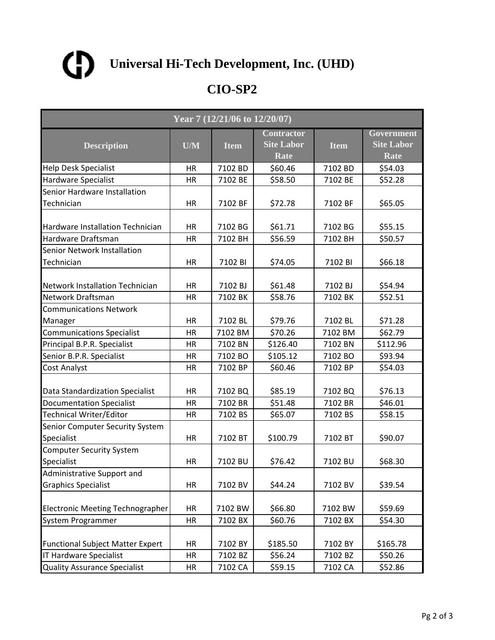

| Year 7 (12/21/06 to 12/20/07)                 |           |             |                                                |             |                                                |  |  |
|-----------------------------------------------|-----------|-------------|------------------------------------------------|-------------|------------------------------------------------|--|--|
| <b>Description</b>                            | U/M       | <b>Item</b> | <b>Contractor</b><br><b>Site Labor</b><br>Rate | <b>Item</b> | Government<br><b>Site Labor</b><br><b>Rate</b> |  |  |
| <b>Help Desk Specialist</b>                   | HR        | 7102 BD     | \$60.46                                        | 7102 BD     | \$54.03                                        |  |  |
| <b>Hardware Specialist</b>                    | HR        | 7102 BE     | \$58.50                                        | 7102 BE     | \$52.28                                        |  |  |
| Senior Hardware Installation                  |           |             |                                                |             |                                                |  |  |
| Technician                                    | HR        | 7102 BF     | \$72.78                                        | 7102 BF     | \$65.05                                        |  |  |
| <b>Hardware Installation Technician</b>       | HR        | 7102 BG     | \$61.71                                        | 7102 BG     | \$55.15                                        |  |  |
| Hardware Draftsman                            | HR        | 7102 BH     | \$56.59                                        | 7102 BH     | \$50.57                                        |  |  |
| Senior Network Installation<br>Technician     | HR        | 7102 BI     | \$74.05                                        | 7102 BI     | \$66.18                                        |  |  |
| Network Installation Technician               | <b>HR</b> | 7102 BJ     | \$61.48                                        | 7102 BJ     | \$54.94                                        |  |  |
| Network Draftsman                             | HR        | 7102 BK     | \$58.76                                        | 7102 BK     | \$52.51                                        |  |  |
| <b>Communications Network</b>                 |           |             |                                                |             |                                                |  |  |
| Manager                                       | HR        | 7102 BL     | \$79.76                                        | 7102 BL     | \$71.28                                        |  |  |
| <b>Communications Specialist</b>              | HR        | 7102 BM     | \$70.26                                        | 7102 BM     | \$62.79                                        |  |  |
| Principal B.P.R. Specialist                   | HR        | 7102 BN     | \$126.40                                       | 7102 BN     | \$112.96                                       |  |  |
| Senior B.P.R. Specialist                      | <b>HR</b> | 7102 BO     | \$105.12                                       | 7102 BO     | \$93.94                                        |  |  |
| Cost Analyst                                  | HR        | 7102 BP     | \$60.46                                        | 7102 BP     | \$54.03                                        |  |  |
| Data Standardization Specialist               | <b>HR</b> | 7102 BQ     | \$85.19                                        | 7102 BQ     | \$76.13                                        |  |  |
| <b>Documentation Specialist</b>               | HR        | 7102 BR     | \$51.48                                        | 7102 BR     | \$46.01                                        |  |  |
| <b>Technical Writer/Editor</b>                | HR        | 7102 BS     | \$65.07                                        | 7102 BS     | \$58.15                                        |  |  |
| Senior Computer Security System<br>Specialist | HR        | 7102 BT     | \$100.79                                       | 7102 BT     | \$90.07                                        |  |  |
| <b>Computer Security System</b><br>Specialist | HR        | 7102 BU     | \$76.42                                        | 7102 BU     | \$68.30                                        |  |  |
| Administrative Support and                    |           |             |                                                |             |                                                |  |  |
| <b>Graphics Specialist</b>                    | HR        | 7102 BV     | \$44.24                                        | 7102 BV     | \$39.54                                        |  |  |
| <b>Electronic Meeting Technographer</b>       | HR        | 7102 BW     | \$66.80                                        | 7102 BW     | \$59.69                                        |  |  |
| System Programmer                             | HR        | 7102 BX     | \$60.76                                        | 7102 BX     | \$54.30                                        |  |  |
| <b>Functional Subject Matter Expert</b>       | HR        | 7102 BY     | \$185.50                                       | 7102 BY     | \$165.78                                       |  |  |
| <b>IT Hardware Specialist</b>                 | HR        | 7102 BZ     | \$56.24                                        | 7102 BZ     | \$50.26                                        |  |  |
| <b>Quality Assurance Specialist</b>           | HR        | 7102 CA     | \$59.15                                        | 7102 CA     | \$52.86                                        |  |  |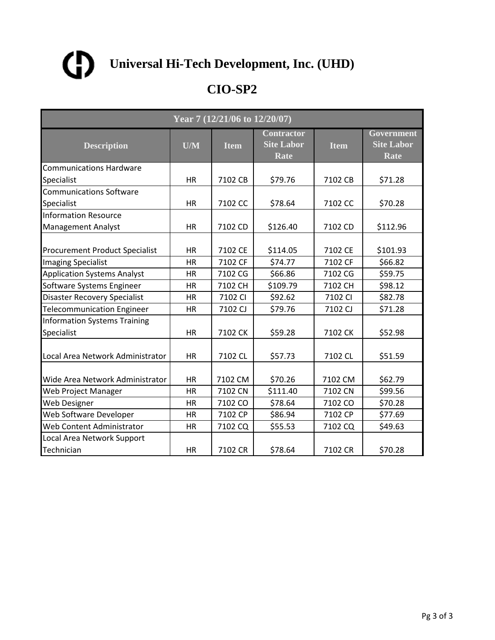

| Year 7 (12/21/06 to 12/20/07)                     |           |             |                                                |             |                                         |  |  |
|---------------------------------------------------|-----------|-------------|------------------------------------------------|-------------|-----------------------------------------|--|--|
| <b>Description</b>                                | U/M       | <b>Item</b> | <b>Contractor</b><br><b>Site Labor</b><br>Rate | <b>Item</b> | Government<br><b>Site Labor</b><br>Rate |  |  |
| <b>Communications Hardware</b>                    |           |             |                                                |             |                                         |  |  |
| Specialist                                        | HR        | 7102 CB     | \$79.76                                        | 7102 CB     | \$71.28                                 |  |  |
| <b>Communications Software</b>                    |           |             |                                                |             |                                         |  |  |
| Specialist                                        | <b>HR</b> | 7102 CC     | \$78.64                                        | 7102 CC     | \$70.28                                 |  |  |
| <b>Information Resource</b>                       |           |             |                                                |             |                                         |  |  |
| <b>Management Analyst</b>                         | <b>HR</b> | 7102 CD     | \$126.40                                       | 7102 CD     | \$112.96                                |  |  |
| <b>Procurement Product Specialist</b>             | <b>HR</b> | 7102 CE     | \$114.05                                       | 7102 CE     | \$101.93                                |  |  |
| <b>Imaging Specialist</b>                         | <b>HR</b> | 7102 CF     | \$74.77                                        | 7102 CF     | \$66.82                                 |  |  |
| <b>Application Systems Analyst</b>                | HR        | 7102 CG     | \$66.86                                        | 7102 CG     | \$59.75                                 |  |  |
| Software Systems Engineer                         | <b>HR</b> | 7102 CH     | \$109.79                                       | 7102 CH     | \$98.12                                 |  |  |
| <b>Disaster Recovery Specialist</b>               | <b>HR</b> | 7102 CI     | \$92.62                                        | 7102 CI     | \$82.78                                 |  |  |
| <b>Telecommunication Engineer</b>                 | HR        | 7102 CJ     | \$79.76                                        | 7102 CJ     | \$71.28                                 |  |  |
| <b>Information Systems Training</b><br>Specialist | <b>HR</b> | 7102 CK     | \$59.28                                        | 7102 CK     | \$52.98                                 |  |  |
| Local Area Network Administrator                  | <b>HR</b> | 7102 CL     | \$57.73                                        | 7102 CL     | \$51.59                                 |  |  |
| Wide Area Network Administrator                   | <b>HR</b> | 7102 CM     | \$70.26                                        | 7102 CM     | \$62.79                                 |  |  |
| Web Project Manager                               | <b>HR</b> | 7102 CN     | \$111.40                                       | 7102 CN     | \$99.56                                 |  |  |
| <b>Web Designer</b>                               | HR        | 7102 CO     | \$78.64                                        | 7102 CO     | \$70.28                                 |  |  |
| Web Software Developer                            | HR        | 7102 CP     | \$86.94                                        | 7102 CP     | \$77.69                                 |  |  |
| Web Content Administrator                         | HR        | 7102 CQ     | \$55.53                                        | 7102 CQ     | \$49.63                                 |  |  |
| Local Area Network Support                        |           |             |                                                |             |                                         |  |  |
| Technician                                        | <b>HR</b> | 7102 CR     | \$78.64                                        | 7102 CR     | \$70.28                                 |  |  |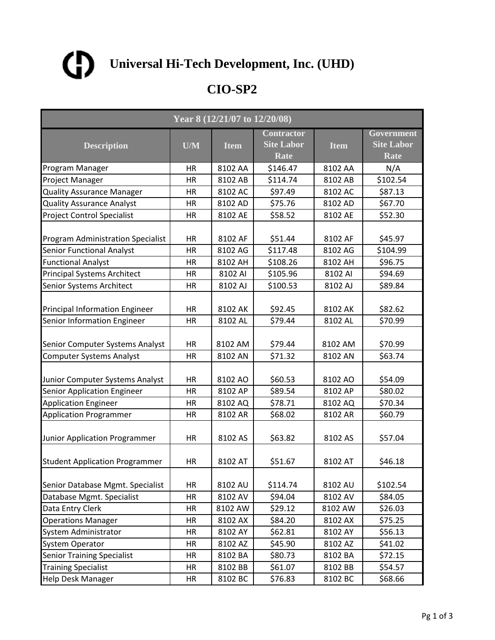

| Year 8 (12/21/07 to 12/20/08)                                         |                 |                    |                                                |                    |                                                |  |
|-----------------------------------------------------------------------|-----------------|--------------------|------------------------------------------------|--------------------|------------------------------------------------|--|
| <b>Description</b>                                                    | U/M             | <b>Item</b>        | <b>Contractor</b><br><b>Site Labor</b><br>Rate | <b>Item</b>        | Government<br><b>Site Labor</b><br><b>Rate</b> |  |
| Program Manager                                                       | HR              | 8102 AA            | \$146.47                                       | 8102 AA            | N/A                                            |  |
| Project Manager                                                       | HR              | 8102 AB            | \$114.74                                       | 8102 AB            | \$102.54                                       |  |
| <b>Quality Assurance Manager</b>                                      | HR              | 8102 AC            | \$97.49                                        | 8102 AC            | \$87.13                                        |  |
| <b>Quality Assurance Analyst</b>                                      | HR              | 8102 AD            | \$75.76                                        | 8102 AD            | \$67.70                                        |  |
| <b>Project Control Specialist</b>                                     | <b>HR</b>       | 8102 AE            | \$58.52                                        | 8102 AE            | \$52.30                                        |  |
| <b>Program Administration Specialist</b>                              | HR              | 8102 AF            | \$51.44                                        | 8102 AF            | \$45.97                                        |  |
| <b>Senior Functional Analyst</b>                                      | <b>HR</b>       | 8102 AG            | \$117.48                                       | 8102 AG            | \$104.99                                       |  |
| <b>Functional Analyst</b>                                             | HR              | 8102 AH            | \$108.26                                       | 8102 AH            | \$96.75                                        |  |
| <b>Principal Systems Architect</b>                                    | HR              | 8102 AI            | \$105.96                                       | 8102 AI            | \$94.69                                        |  |
| <b>Senior Systems Architect</b>                                       | <b>HR</b>       | 8102 AJ            | \$100.53                                       | 8102 AJ            | \$89.84                                        |  |
| Principal Information Engineer                                        | HR              | 8102 AK            | \$92.45                                        | 8102 AK            | \$82.62                                        |  |
| Senior Information Engineer                                           | HR              | 8102 AL            | \$79.44                                        | 8102 AL            | \$70.99                                        |  |
| Senior Computer Systems Analyst                                       | HR              | 8102 AM            | \$79.44                                        | 8102 AM            | \$70.99                                        |  |
| <b>Computer Systems Analyst</b>                                       | <b>HR</b>       | 8102 AN            | \$71.32                                        | 8102 AN            | \$63.74                                        |  |
| Junior Computer Systems Analyst<br><b>Senior Application Engineer</b> | HR<br><b>HR</b> | 8102 AO<br>8102 AP | \$60.53<br>\$89.54                             | 8102 AO<br>8102 AP | \$54.09<br>\$80.02                             |  |
| <b>Application Engineer</b>                                           | HR              | 8102 AQ            | \$78.71                                        | 8102 AQ            | \$70.34                                        |  |
| Application Programmer                                                | HR              | 8102 AR            | \$68.02                                        | 8102 AR            | \$60.79                                        |  |
| Junior Application Programmer                                         | <b>HR</b>       | 8102 AS            | \$63.82                                        | 8102 AS            | \$57.04                                        |  |
| <b>Student Application Programmer</b>                                 | HR              | 8102 AT            | \$51.67                                        | 8102 AT            | \$46.18                                        |  |
| Senior Database Mgmt. Specialist                                      | HR              | 8102 AU            | \$114.74                                       | 8102 AU            | \$102.54                                       |  |
| Database Mgmt. Specialist                                             | <b>HR</b>       | 8102 AV            | \$94.04                                        | 8102 AV            | \$84.05                                        |  |
| Data Entry Clerk                                                      | HR              | 8102 AW            | \$29.12                                        | 8102 AW            | \$26.03                                        |  |
| <b>Operations Manager</b>                                             | HR              | 8102 AX            | \$84.20                                        | 8102 AX            | \$75.25                                        |  |
| System Administrator                                                  | HR              | 8102 AY            | \$62.81                                        | 8102 AY            | \$56.13                                        |  |
| <b>System Operator</b>                                                | HR              | 8102 AZ            | \$45.90                                        | 8102 AZ            | \$41.02                                        |  |
| <b>Senior Training Specialist</b>                                     | HR              | 8102 BA            | \$80.73                                        | 8102 BA            | \$72.15                                        |  |
| <b>Training Specialist</b>                                            | HR              | 8102 BB            | \$61.07                                        | 8102 BB            | \$54.57                                        |  |
| <b>Help Desk Manager</b>                                              | HR              | 8102 BC            | \$76.83                                        | 8102 BC            | \$68.66                                        |  |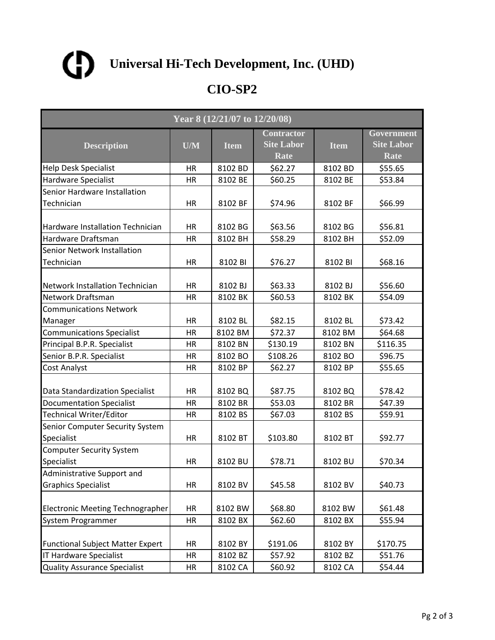

| Year 8 $(12/21/\overline{07}$ to $12/20/\overline{08})$ |           |             |                                                |             |                                                |  |  |
|---------------------------------------------------------|-----------|-------------|------------------------------------------------|-------------|------------------------------------------------|--|--|
| <b>Description</b>                                      | U/M       | <b>Item</b> | <b>Contractor</b><br><b>Site Labor</b><br>Rate | <b>Item</b> | Government<br><b>Site Labor</b><br><b>Rate</b> |  |  |
| <b>Help Desk Specialist</b>                             | HR        | 8102 BD     | \$62.27                                        | 8102 BD     | \$55.65                                        |  |  |
| <b>Hardware Specialist</b>                              | HR        | 8102 BE     | \$60.25                                        | 8102 BE     | \$53.84                                        |  |  |
| Senior Hardware Installation                            |           |             |                                                |             |                                                |  |  |
| Technician                                              | HR        | 8102 BF     | \$74.96                                        | 8102 BF     | \$66.99                                        |  |  |
| Hardware Installation Technician                        | HR        | 8102 BG     | \$63.56                                        | 8102 BG     | \$56.81                                        |  |  |
| Hardware Draftsman                                      | HR        | 8102 BH     | \$58.29                                        | 8102 BH     | \$52.09                                        |  |  |
| Senior Network Installation<br>Technician               | HR        | 8102 BI     | \$76.27                                        | 8102 BI     | \$68.16                                        |  |  |
| Network Installation Technician                         | HR        | 8102 BJ     | \$63.33                                        | 8102 BJ     | \$56.60                                        |  |  |
| Network Draftsman                                       | HR        | 8102 BK     | \$60.53                                        | 8102 BK     | \$54.09                                        |  |  |
| <b>Communications Network</b>                           |           |             |                                                |             |                                                |  |  |
| Manager                                                 | HR        | 8102 BL     | \$82.15                                        | 8102 BL     | \$73.42                                        |  |  |
| <b>Communications Specialist</b>                        | HR        | 8102 BM     | \$72.37                                        | 8102 BM     | \$64.68                                        |  |  |
| Principal B.P.R. Specialist                             | HR        | 8102 BN     | \$130.19                                       | 8102 BN     | \$116.35                                       |  |  |
| Senior B.P.R. Specialist                                | <b>HR</b> | 8102 BO     | \$108.26                                       | 8102 BO     | \$96.75                                        |  |  |
| Cost Analyst                                            | HR        | 8102 BP     | \$62.27                                        | 8102 BP     | \$55.65                                        |  |  |
| Data Standardization Specialist                         | <b>HR</b> | 8102 BQ     | \$87.75                                        | 8102 BQ     | \$78.42                                        |  |  |
| <b>Documentation Specialist</b>                         | HR        | 8102 BR     | \$53.03                                        | 8102 BR     | \$47.39                                        |  |  |
| <b>Technical Writer/Editor</b>                          | HR        | 8102 BS     | \$67.03                                        | 8102 BS     | \$59.91                                        |  |  |
| Senior Computer Security System<br>Specialist           | <b>HR</b> | 8102 BT     | \$103.80                                       | 8102 BT     | \$92.77                                        |  |  |
| <b>Computer Security System</b><br>Specialist           | HR        | 8102 BU     | \$78.71                                        | 8102 BU     | \$70.34                                        |  |  |
| Administrative Support and                              |           |             |                                                |             |                                                |  |  |
| <b>Graphics Specialist</b>                              | HR        | 8102 BV     | \$45.58                                        | 8102 BV     | \$40.73                                        |  |  |
| <b>Electronic Meeting Technographer</b>                 | HR        | 8102 BW     | \$68.80                                        | 8102 BW     | \$61.48                                        |  |  |
| System Programmer                                       | HR        | 8102 BX     | \$62.60                                        | 8102 BX     | \$55.94                                        |  |  |
| <b>Functional Subject Matter Expert</b>                 | HR        | 8102 BY     | \$191.06                                       | 8102 BY     | \$170.75                                       |  |  |
| <b>IT Hardware Specialist</b>                           | HR        | 8102 BZ     | \$57.92                                        | 8102 BZ     | \$51.76                                        |  |  |
| <b>Quality Assurance Specialist</b>                     | HR        | 8102 CA     | \$60.92                                        | 8102 CA     | \$54.44                                        |  |  |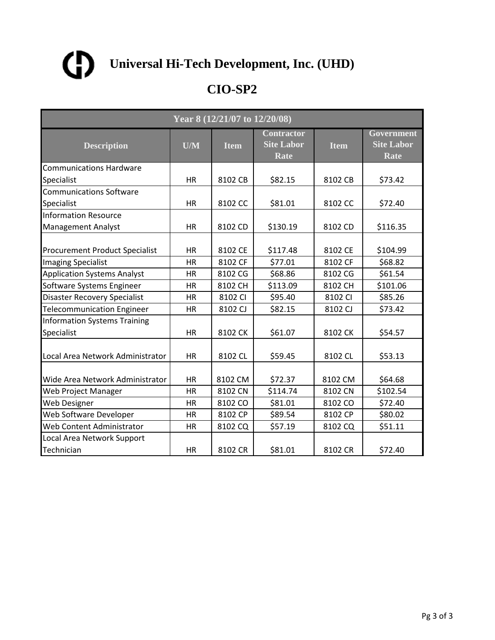

| Year 8 (12/21/07 to 12/20/08)                     |                         |             |                                                |             |                                         |  |  |
|---------------------------------------------------|-------------------------|-------------|------------------------------------------------|-------------|-----------------------------------------|--|--|
| <b>Description</b>                                | $\overline{\text{U/M}}$ | <b>Item</b> | <b>Contractor</b><br><b>Site Labor</b><br>Rate | <b>Item</b> | Government<br><b>Site Labor</b><br>Rate |  |  |
| <b>Communications Hardware</b>                    |                         |             |                                                |             |                                         |  |  |
| Specialist                                        | <b>HR</b>               | 8102 CB     | \$82.15                                        | 8102 CB     | \$73.42                                 |  |  |
| <b>Communications Software</b>                    |                         |             |                                                |             |                                         |  |  |
| Specialist                                        | HR                      | 8102 CC     | \$81.01                                        | 8102 CC     | \$72.40                                 |  |  |
| <b>Information Resource</b>                       |                         |             |                                                |             |                                         |  |  |
| <b>Management Analyst</b>                         | <b>HR</b>               | 8102 CD     | \$130.19                                       | 8102 CD     | \$116.35                                |  |  |
| <b>Procurement Product Specialist</b>             | <b>HR</b>               | 8102 CE     | \$117.48                                       | 8102 CE     | \$104.99                                |  |  |
| <b>Imaging Specialist</b>                         | <b>HR</b>               | 8102 CF     | \$77.01                                        | 8102 CF     | \$68.82                                 |  |  |
| <b>Application Systems Analyst</b>                | <b>HR</b>               | 8102 CG     | \$68.86                                        | 8102 CG     | \$61.54                                 |  |  |
| Software Systems Engineer                         | <b>HR</b>               | 8102 CH     | \$113.09                                       | 8102 CH     | \$101.06                                |  |  |
| <b>Disaster Recovery Specialist</b>               | <b>HR</b>               | 8102 CI     | \$95.40                                        | 8102 CI     | \$85.26                                 |  |  |
| <b>Telecommunication Engineer</b>                 | <b>HR</b>               | 8102 CJ     | \$82.15                                        | 8102 CJ     | \$73.42                                 |  |  |
| <b>Information Systems Training</b><br>Specialist | <b>HR</b>               | 8102 CK     | \$61.07                                        | 8102 CK     | \$54.57                                 |  |  |
| Local Area Network Administrator                  | HR                      | 8102 CL     | \$59.45                                        | 8102 CL     | \$53.13                                 |  |  |
| Wide Area Network Administrator                   | <b>HR</b>               | 8102 CM     | \$72.37                                        | 8102 CM     | \$64.68                                 |  |  |
| Web Project Manager                               | <b>HR</b>               | 8102 CN     | \$114.74                                       | 8102 CN     | \$102.54                                |  |  |
| Web Designer                                      | HR                      | 8102 CO     | \$81.01                                        | 8102 CO     | \$72.40                                 |  |  |
| Web Software Developer                            | HR                      | 8102 CP     | \$89.54                                        | 8102 CP     | \$80.02                                 |  |  |
| Web Content Administrator                         | HR                      | 8102 CQ     | \$57.19                                        | 8102 CQ     | \$51.11                                 |  |  |
| Local Area Network Support                        |                         |             |                                                |             |                                         |  |  |
| Technician                                        | <b>HR</b>               | 8102 CR     | \$81.01                                        | 8102 CR     | \$72.40                                 |  |  |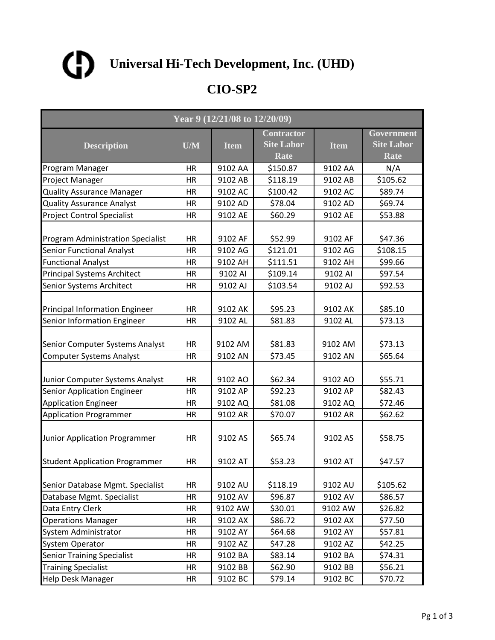

| Year 9 (12/21/08 to 12/20/09)                                  |                 |                    |                                                |                    |                                                |  |
|----------------------------------------------------------------|-----------------|--------------------|------------------------------------------------|--------------------|------------------------------------------------|--|
| <b>Description</b>                                             | U/M             | <b>Item</b>        | <b>Contractor</b><br><b>Site Labor</b><br>Rate | <b>Item</b>        | Government<br><b>Site Labor</b><br><b>Rate</b> |  |
| Program Manager                                                | HR              | 9102 AA            | \$150.87                                       | 9102 AA            | N/A                                            |  |
| Project Manager                                                | HR              | 9102 AB            | \$118.19                                       | 9102 AB            | \$105.62                                       |  |
| <b>Quality Assurance Manager</b>                               | HR              | 9102 AC            | \$100.42                                       | 9102 AC            | \$89.74                                        |  |
| <b>Quality Assurance Analyst</b>                               | HR              | 9102 AD            | \$78.04                                        | 9102 AD            | \$69.74                                        |  |
| <b>Project Control Specialist</b>                              | <b>HR</b>       | 9102 AE            | \$60.29                                        | 9102 AE            | \$53.88                                        |  |
| <b>Program Administration Specialist</b>                       | HR              | 9102 AF            | \$52.99                                        | 9102 AF            | \$47.36                                        |  |
| <b>Senior Functional Analyst</b>                               | <b>HR</b>       | 9102 AG            | \$121.01                                       | 9102 AG            | \$108.15                                       |  |
| <b>Functional Analyst</b>                                      | HR              | 9102 AH            | \$111.51                                       | 9102 AH            | \$99.66                                        |  |
| <b>Principal Systems Architect</b>                             | HR              | 9102 AI            | \$109.14                                       | 9102 AI            | \$97.54                                        |  |
| <b>Senior Systems Architect</b>                                | <b>HR</b>       | 9102 AJ            | \$103.54                                       | 9102 AJ            | \$92.53                                        |  |
| <b>Principal Information Engineer</b>                          | HR              | 9102 AK            | \$95.23                                        | 9102 AK            | \$85.10                                        |  |
| Senior Information Engineer                                    | HR              | 9102 AL            | \$81.83                                        | 9102 AL            | \$73.13                                        |  |
| Senior Computer Systems Analyst                                | HR              | 9102 AM            | \$81.83                                        | 9102 AM            | \$73.13                                        |  |
| <b>Computer Systems Analyst</b>                                | <b>HR</b>       | 9102 AN            | \$73.45                                        | 9102 AN            | \$65.64                                        |  |
| Junior Computer Systems Analyst<br>Senior Application Engineer | HR<br><b>HR</b> | 9102 AO<br>9102 AP | \$62.34<br>\$92.23                             | 9102 AO<br>9102 AP | \$55.71<br>\$82.43                             |  |
| <b>Application Engineer</b>                                    | HR              | 9102 AQ            | \$81.08                                        | 9102 AQ            | \$72.46                                        |  |
| <b>Application Programmer</b>                                  | HR              | 9102 AR            | \$70.07                                        | 9102 AR            | \$62.62                                        |  |
| Junior Application Programmer                                  | <b>HR</b>       | 9102 AS            | \$65.74                                        | 9102 AS            | \$58.75                                        |  |
| <b>Student Application Programmer</b>                          | HR              | 9102 AT            | \$53.23                                        | 9102 AT            | \$47.57                                        |  |
| Senior Database Mgmt. Specialist                               | HR              | 9102 AU            | \$118.19                                       | 9102 AU            | \$105.62                                       |  |
| Database Mgmt. Specialist                                      | <b>HR</b>       | 9102 AV            | \$96.87                                        | 9102 AV            | \$86.57                                        |  |
| Data Entry Clerk                                               | HR              | 9102 AW            | \$30.01                                        | 9102 AW            | \$26.82                                        |  |
| <b>Operations Manager</b>                                      | HR              | 9102 AX            | \$86.72                                        | 9102 AX            | \$77.50                                        |  |
| System Administrator                                           | HR              | 9102 AY            | \$64.68                                        | 9102 AY            | \$57.81                                        |  |
| <b>System Operator</b>                                         | HR              | 9102 AZ            | \$47.28                                        | 9102 AZ            | \$42.25                                        |  |
| <b>Senior Training Specialist</b>                              | HR              | 9102 BA            | \$83.14                                        | 9102 BA            | \$74.31                                        |  |
| <b>Training Specialist</b>                                     | HR              | 9102 BB            | \$62.90                                        | 9102 BB            | \$56.21                                        |  |
| <b>Help Desk Manager</b>                                       | HR              | 9102 BC            | \$79.14                                        | 9102 BC            | \$70.72                                        |  |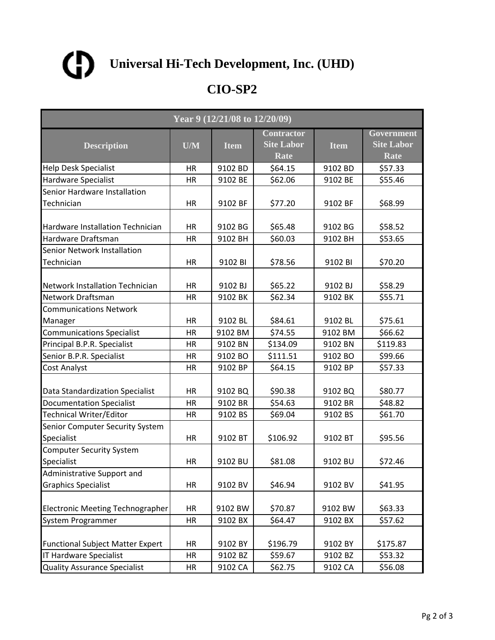

| Year 9 (12/21/08 to 12/20/09)                 |           |             |                                                |             |                                         |  |
|-----------------------------------------------|-----------|-------------|------------------------------------------------|-------------|-----------------------------------------|--|
| <b>Description</b>                            | U/M       | <b>Item</b> | <b>Contractor</b><br><b>Site Labor</b><br>Rate | <b>Item</b> | Government<br><b>Site Labor</b><br>Rate |  |
| <b>Help Desk Specialist</b>                   | HR        | 9102 BD     | \$64.15                                        | 9102 BD     | \$57.33                                 |  |
| Hardware Specialist                           | HR        | 9102 BE     | \$62.06                                        | 9102 BE     | \$55.46                                 |  |
| Senior Hardware Installation                  |           |             |                                                |             |                                         |  |
| Technician                                    | HR        | 9102 BF     | \$77.20                                        | 9102 BF     | \$68.99                                 |  |
| Hardware Installation Technician              | HR        | 9102 BG     | \$65.48                                        | 9102 BG     | \$58.52                                 |  |
| Hardware Draftsman                            | <b>HR</b> | 9102 BH     | \$60.03                                        | 9102 BH     | \$53.65                                 |  |
| Senior Network Installation                   |           |             |                                                |             |                                         |  |
| Technician                                    | HR        | 9102 BI     | \$78.56                                        | 9102 BI     | \$70.20                                 |  |
| <b>Network Installation Technician</b>        | HR        | 9102 BJ     | \$65.22                                        | 9102 BJ     | \$58.29                                 |  |
| <b>Network Draftsman</b>                      | <b>HR</b> | 9102 BK     | \$62.34                                        | 9102 BK     | \$55.71                                 |  |
| <b>Communications Network</b>                 |           |             |                                                |             |                                         |  |
| Manager                                       | HR        | 9102 BL     | \$84.61                                        | 9102 BL     | \$75.61                                 |  |
| <b>Communications Specialist</b>              | HR        | 9102 BM     | \$74.55                                        | 9102 BM     | \$66.62                                 |  |
| Principal B.P.R. Specialist                   | ΗR        | 9102 BN     | \$134.09                                       | 9102 BN     | \$119.83                                |  |
| Senior B.P.R. Specialist                      | <b>HR</b> | 9102 BO     | \$111.51                                       | 9102 BO     | \$99.66                                 |  |
| Cost Analyst                                  | HR        | 9102 BP     | \$64.15                                        | 9102 BP     | \$57.33                                 |  |
| Data Standardization Specialist               | <b>HR</b> | 9102 BQ     | \$90.38                                        | 9102 BQ     | \$80.77                                 |  |
| <b>Documentation Specialist</b>               | HR        | 9102 BR     | \$54.63                                        | 9102 BR     | \$48.82                                 |  |
| Technical Writer/Editor                       | HR        | 9102 BS     | \$69.04                                        | 9102 BS     | \$61.70                                 |  |
| Senior Computer Security System<br>Specialist | <b>HR</b> | 9102 BT     | \$106.92                                       | 9102 BT     | \$95.56                                 |  |
| <b>Computer Security System</b>               |           |             |                                                |             |                                         |  |
| Specialist                                    | HR        | 9102 BU     | \$81.08                                        | 9102 BU     | \$72.46                                 |  |
| Administrative Support and                    |           |             |                                                |             |                                         |  |
| <b>Graphics Specialist</b>                    | HR        | 9102 BV     | \$46.94                                        | 9102 BV     | \$41.95                                 |  |
| <b>Electronic Meeting Technographer</b>       | HR        | 9102 BW     | \$70.87                                        | 9102 BW     | \$63.33                                 |  |
| System Programmer                             | <b>HR</b> | 9102 BX     | \$64.47                                        | 9102 BX     | \$57.62                                 |  |
| <b>Functional Subject Matter Expert</b>       | HR        | 9102 BY     | \$196.79                                       | 9102 BY     | \$175.87                                |  |
| <b>IT Hardware Specialist</b>                 | HR        | 9102 BZ     | \$59.67                                        | 9102 BZ     | \$53.32                                 |  |
| <b>Quality Assurance Specialist</b>           | HR        | 9102 CA     | \$62.75                                        | 9102 CA     | \$56.08                                 |  |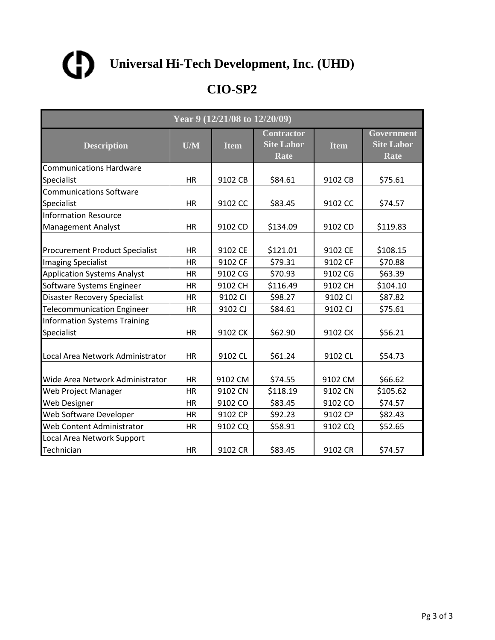

| Year 9 (12/21/08 to 12/20/09)                     |           |             |                                                |             |                                                |  |
|---------------------------------------------------|-----------|-------------|------------------------------------------------|-------------|------------------------------------------------|--|
| <b>Description</b>                                | U/M       | <b>Item</b> | <b>Contractor</b><br><b>Site Labor</b><br>Rate | <b>Item</b> | Government<br><b>Site Labor</b><br><b>Rate</b> |  |
| <b>Communications Hardware</b>                    |           |             |                                                |             |                                                |  |
| Specialist                                        | <b>HR</b> | 9102 CB     | \$84.61                                        | 9102 CB     | \$75.61                                        |  |
| <b>Communications Software</b>                    |           |             |                                                |             |                                                |  |
| Specialist                                        | <b>HR</b> | 9102 CC     | \$83.45                                        | 9102 CC     | \$74.57                                        |  |
| <b>Information Resource</b>                       |           |             |                                                |             |                                                |  |
| <b>Management Analyst</b>                         | <b>HR</b> | 9102 CD     | \$134.09                                       | 9102 CD     | \$119.83                                       |  |
| <b>Procurement Product Specialist</b>             | <b>HR</b> | 9102 CE     | \$121.01                                       | 9102 CE     | \$108.15                                       |  |
| <b>Imaging Specialist</b>                         | <b>HR</b> | 9102 CF     | \$79.31                                        | 9102 CF     | \$70.88                                        |  |
| <b>Application Systems Analyst</b>                | HR        | 9102 CG     | \$70.93                                        | 9102 CG     | \$63.39                                        |  |
| Software Systems Engineer                         | <b>HR</b> | 9102 CH     | \$116.49                                       | 9102 CH     | \$104.10                                       |  |
| <b>Disaster Recovery Specialist</b>               | <b>HR</b> | 9102 CI     | \$98.27                                        | 9102 CI     | \$87.82                                        |  |
| <b>Telecommunication Engineer</b>                 | <b>HR</b> | 9102 CJ     | \$84.61                                        | 9102 CJ     | \$75.61                                        |  |
| <b>Information Systems Training</b><br>Specialist | <b>HR</b> | 9102 CK     | \$62.90                                        | 9102 CK     | \$56.21                                        |  |
| Local Area Network Administrator                  | HR        | 9102 CL     | \$61.24                                        | 9102 CL     | \$54.73                                        |  |
| Wide Area Network Administrator                   | <b>HR</b> | 9102 CM     | \$74.55                                        | 9102 CM     | \$66.62                                        |  |
| Web Project Manager                               | <b>HR</b> | 9102 CN     | \$118.19                                       | 9102 CN     | \$105.62                                       |  |
| Web Designer                                      | HR        | 9102 CO     | \$83.45                                        | 9102 CO     | \$74.57                                        |  |
| Web Software Developer                            | <b>HR</b> | 9102 CP     | \$92.23                                        | 9102 CP     | \$82.43                                        |  |
| Web Content Administrator                         | HR        | 9102 CQ     | \$58.91                                        | 9102 CQ     | \$52.65                                        |  |
| Local Area Network Support                        |           |             |                                                |             |                                                |  |
| Technician                                        | <b>HR</b> | 9102 CR     | \$83.45                                        | 9102 CR     | \$74.57                                        |  |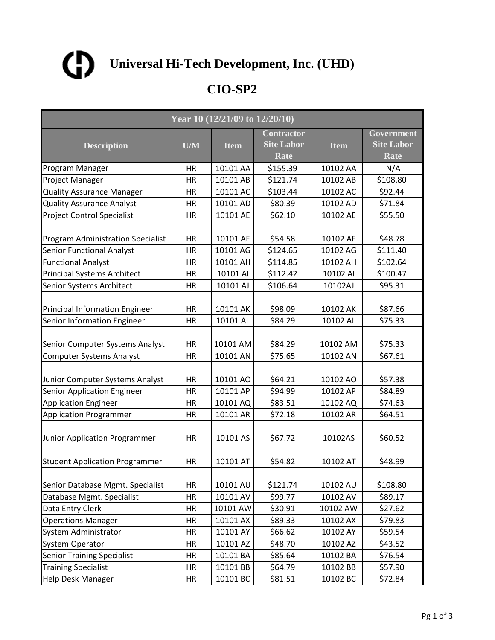

| Year 10 (12/21/09 to 12/20/10)           |           |             |                                                |             |                                                |  |
|------------------------------------------|-----------|-------------|------------------------------------------------|-------------|------------------------------------------------|--|
| <b>Description</b>                       | U/M       | <b>Item</b> | <b>Contractor</b><br><b>Site Labor</b><br>Rate | <b>Item</b> | Government<br><b>Site Labor</b><br><b>Rate</b> |  |
| Program Manager                          | HR        | 10101 AA    | \$155.39                                       | 10102 AA    | N/A                                            |  |
| Project Manager                          | HR        | 10101 AB    | \$121.74                                       | 10102 AB    | \$108.80                                       |  |
| <b>Quality Assurance Manager</b>         | HR        | 10101 AC    | \$103.44                                       | 10102 AC    | \$92.44                                        |  |
| <b>Quality Assurance Analyst</b>         | HR        | 10101 AD    | \$80.39                                        | 10102 AD    | \$71.84                                        |  |
| <b>Project Control Specialist</b>        | <b>HR</b> | 10101 AE    | \$62.10                                        | 10102 AE    | \$55.50                                        |  |
| <b>Program Administration Specialist</b> | HR        | 10101 AF    | \$54.58                                        | 10102 AF    | \$48.78                                        |  |
| <b>Senior Functional Analyst</b>         | <b>HR</b> | 10101 AG    | \$124.65                                       | 10102 AG    | \$111.40                                       |  |
| <b>Functional Analyst</b>                | HR        | 10101 AH    | \$114.85                                       | 10102 AH    | \$102.64                                       |  |
| <b>Principal Systems Architect</b>       | HR        | 10101 AI    | \$112.42                                       | 10102 AI    | \$100.47                                       |  |
| <b>Senior Systems Architect</b>          | <b>HR</b> | 10101 AJ    | \$106.64                                       | 10102AJ     | \$95.31                                        |  |
| <b>Principal Information Engineer</b>    | HR        | 10101 AK    | \$98.09                                        | 10102 AK    | \$87.66                                        |  |
| Senior Information Engineer              | HR        | 10101 AL    | \$84.29                                        | 10102 AL    | \$75.33                                        |  |
| Senior Computer Systems Analyst          | HR        | 10101 AM    | \$84.29                                        | 10102 AM    | \$75.33                                        |  |
| <b>Computer Systems Analyst</b>          | <b>HR</b> | 10101 AN    | \$75.65                                        | 10102 AN    | \$67.61                                        |  |
| Junior Computer Systems Analyst          | HR        | 10101 AO    | \$64.21                                        | 10102 AO    | \$57.38                                        |  |
| Senior Application Engineer              | <b>HR</b> | 10101 AP    | \$94.99                                        | 10102 AP    | \$84.89                                        |  |
| <b>Application Engineer</b>              | HR        | 10101 AQ    | \$83.51                                        | 10102 AQ    | \$74.63                                        |  |
| <b>Application Programmer</b>            | HR        | 10101 AR    | \$72.18                                        | 10102 AR    | \$64.51                                        |  |
| Junior Application Programmer            | <b>HR</b> | 10101 AS    | \$67.72                                        | 10102AS     | \$60.52                                        |  |
| <b>Student Application Programmer</b>    | HR        | 10101 AT    | \$54.82                                        | 10102 AT    | \$48.99                                        |  |
| Senior Database Mgmt. Specialist         | HR        | 10101 AU    | \$121.74                                       | 10102 AU    | \$108.80                                       |  |
| Database Mgmt. Specialist                | HR        | 10101 AV    | \$99.77                                        | 10102 AV    | \$89.17                                        |  |
| Data Entry Clerk                         | HR        | 10101 AW    | \$30.91                                        | 10102 AW    | \$27.62                                        |  |
| <b>Operations Manager</b>                | HR        | 10101 AX    | \$89.33                                        | 10102 AX    | \$79.83                                        |  |
| System Administrator                     | HR        | 10101 AY    | \$66.62                                        | 10102 AY    | \$59.54                                        |  |
| <b>System Operator</b>                   | HR        | 10101 AZ    | \$48.70                                        | 10102 AZ    | \$43.52                                        |  |
| <b>Senior Training Specialist</b>        | HR        | 10101 BA    | \$85.64                                        | 10102 BA    | \$76.54                                        |  |
| <b>Training Specialist</b>               | HR        | 10101 BB    | \$64.79                                        | 10102 BB    | \$57.90                                        |  |
| <b>Help Desk Manager</b>                 | HR        | 10101 BC    | \$81.51                                        | 10102 BC    | \$72.84                                        |  |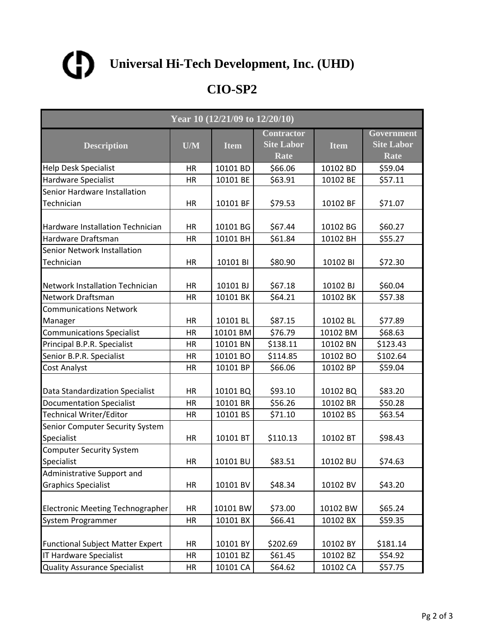

| Year 10 (12/21/09 to 12/20/10)                |           |             |                                                |             |                                         |  |
|-----------------------------------------------|-----------|-------------|------------------------------------------------|-------------|-----------------------------------------|--|
| <b>Description</b>                            | U/M       | <b>Item</b> | <b>Contractor</b><br><b>Site Labor</b><br>Rate | <b>Item</b> | Government<br><b>Site Labor</b><br>Rate |  |
| <b>Help Desk Specialist</b>                   | HR        | 10101 BD    | \$66.06                                        | 10102 BD    | \$59.04                                 |  |
| Hardware Specialist                           | HR        | 10101 BE    | \$63.91                                        | 10102 BE    | \$57.11                                 |  |
| Senior Hardware Installation                  |           |             |                                                |             |                                         |  |
| Technician                                    | HR        | 10101 BF    | \$79.53                                        | 10102 BF    | \$71.07                                 |  |
| <b>Hardware Installation Technician</b>       | <b>HR</b> | 10101 BG    | \$67.44                                        | 10102 BG    | \$60.27                                 |  |
| Hardware Draftsman                            | HR        | 10101 BH    | \$61.84                                        | 10102 BH    | \$55.27                                 |  |
| Senior Network Installation                   |           |             |                                                |             |                                         |  |
| Technician                                    | HR        | 10101 BI    | \$80.90                                        | 10102 BI    | \$72.30                                 |  |
| <b>Network Installation Technician</b>        | HR        | 10101 BJ    | \$67.18                                        | 10102 BJ    | \$60.04                                 |  |
| Network Draftsman                             | HR        | 10101 BK    | \$64.21                                        | 10102 BK    | \$57.38                                 |  |
| <b>Communications Network</b>                 |           |             |                                                |             |                                         |  |
| Manager                                       | HR        | 10101 BL    | \$87.15                                        | 10102 BL    | \$77.89                                 |  |
| <b>Communications Specialist</b>              | <b>HR</b> | 10101 BM    | \$76.79                                        | 10102 BM    | \$68.63                                 |  |
| Principal B.P.R. Specialist                   | HR        | 10101 BN    | \$138.11                                       | 10102 BN    | \$123.43                                |  |
| Senior B.P.R. Specialist                      | HR        | 10101 BO    | \$114.85                                       | 10102 BO    | \$102.64                                |  |
| Cost Analyst                                  | HR        | 10101 BP    | \$66.06                                        | 10102 BP    | \$59.04                                 |  |
| Data Standardization Specialist               | HR        | 10101 BQ    | \$93.10                                        | 10102 BQ    | \$83.20                                 |  |
| <b>Documentation Specialist</b>               | <b>HR</b> | 10101 BR    | \$56.26                                        | 10102 BR    | \$50.28                                 |  |
| Technical Writer/Editor                       | <b>HR</b> | 10101 BS    | \$71.10                                        | 10102 BS    | \$63.54                                 |  |
| Senior Computer Security System<br>Specialist | HR        | 10101 BT    | \$110.13                                       | 10102 BT    | \$98.43                                 |  |
| <b>Computer Security System</b>               |           |             |                                                |             |                                         |  |
| Specialist                                    | HR        | 10101 BU    | \$83.51                                        | 10102 BU    | \$74.63                                 |  |
| Administrative Support and                    |           |             |                                                |             |                                         |  |
| <b>Graphics Specialist</b>                    | HR        | 10101 BV    | \$48.34                                        | 10102 BV    | \$43.20                                 |  |
| <b>Electronic Meeting Technographer</b>       | HR        | 10101 BW    | \$73.00                                        | 10102 BW    | \$65.24                                 |  |
| System Programmer                             | HR        | 10101 BX    | \$66.41                                        | 10102 BX    | \$59.35                                 |  |
| <b>Functional Subject Matter Expert</b>       | HR        | 10101 BY    | \$202.69                                       | 10102 BY    | \$181.14                                |  |
| <b>IT Hardware Specialist</b>                 | <b>HR</b> | 10101 BZ    | \$61.45                                        | 10102 BZ    | \$54.92                                 |  |
| <b>Quality Assurance Specialist</b>           | HR        | 10101 CA    | \$64.62                                        | 10102 CA    | \$57.75                                 |  |